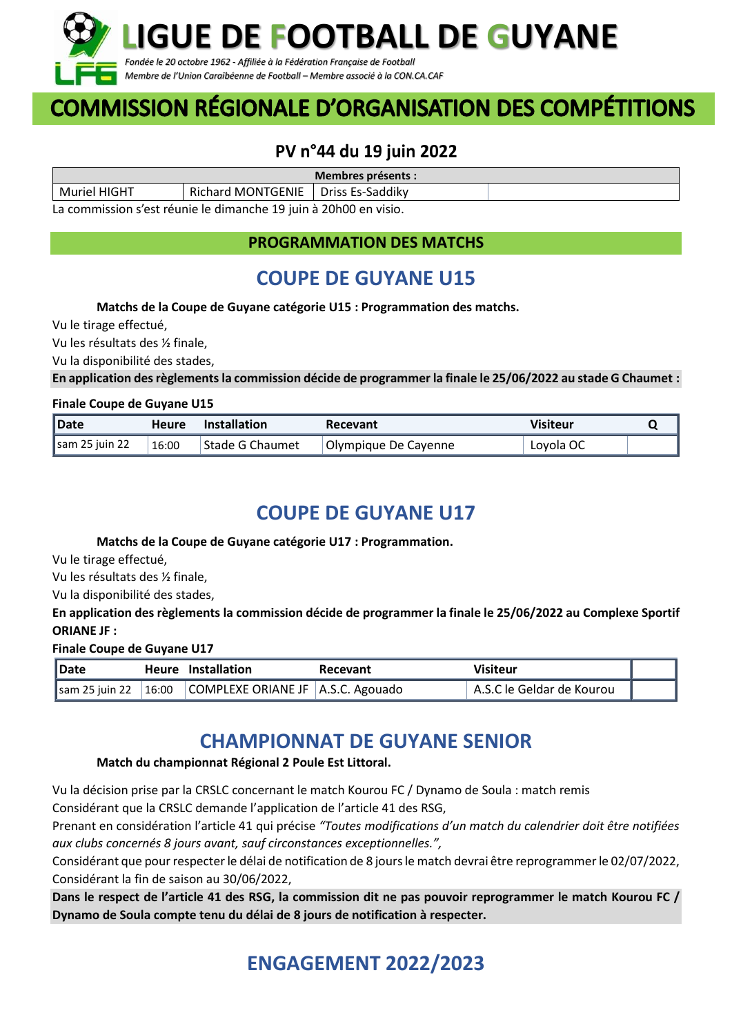

# **COMMISSION RÉGIONALE D'ORGANISATION DES COMPÉTITIONS**

## PV n°44 du 19 juin 2022

| Membres présents :                                                |                   |                    |  |  |
|-------------------------------------------------------------------|-------------------|--------------------|--|--|
| Muriel HIGHT                                                      | Richard MONTGENIE | l Driss Es-Saddikv |  |  |
| La commission s'est réunie le dimanche 19 juin à 20 h00 en visio. |                   |                    |  |  |

La commission s'est réunie le dimanche 19 juin à 20h00 en visio.

**PROGRAMMATION DES MATCHS**

# **COUPE DE GUYANE U15**

#### **Matchs de la Coupe de Guyane catégorie U15 : Programmation des matchs.**

Vu le tirage effectué,

Vu les résultats des ½ finale,

Vu la disponibilité des stades,

**En application des règlementsla commission décide de programmer la finale le 25/06/2022 au stade G Chaumet :** 

#### **Finale Coupe de Guyane U15**

| <b>IDate</b>             | <b>Heure</b> | <b>Installation</b> | Recevant             | Visiteur  |  |
|--------------------------|--------------|---------------------|----------------------|-----------|--|
| $\sqrt{\sin 25}$ juin 22 | 16:00        | Stade G Chaumet     | Olympique De Cayenne | Loyola OC |  |

### **COUPE DE GUYANE U17**

#### **Matchs de la Coupe de Guyane catégorie U17 : Programmation.**

Vu le tirage effectué,

Vu les résultats des ½ finale,

Vu la disponibilité des stades,

**En application des règlements la commission décide de programmer la finale le 25/06/2022 au Complexe Sportif ORIANE JF :**

#### **Finale Coupe de Guyane U17**

| Date | Heure Installation                                                       | Recevant | Visiteur                  |  |
|------|--------------------------------------------------------------------------|----------|---------------------------|--|
|      | $\parallel$ sam 25 juin 22   16:00   COMPLEXE ORIANE JF   A.S.C. Agouado |          | A.S.C le Geldar de Kourou |  |

## **CHAMPIONNAT DE GUYANE SENIOR**

#### **Match du championnat Régional 2 Poule Est Littoral.**

Vu la décision prise par la CRSLC concernant le match Kourou FC / Dynamo de Soula : match remis Considérant que la CRSLC demande l'application de l'article 41 des RSG,

Prenant en considération l'article 41 qui précise *"Toutes modifications d'un match du calendrier doit être notifiées aux clubs concernés 8 jours avant, sauf circonstances exceptionnelles.",*

Considérant que pour respecter le délai de notification de 8 jours le match devrai être reprogrammer le 02/07/2022, Considérant la fin de saison au 30/06/2022,

**Dans le respect de l'article 41 des RSG, la commission dit ne pas pouvoir reprogrammer le match Kourou FC / Dynamo de Soula compte tenu du délai de 8 jours de notification à respecter.**

# **ENGAGEMENT 2022/2023**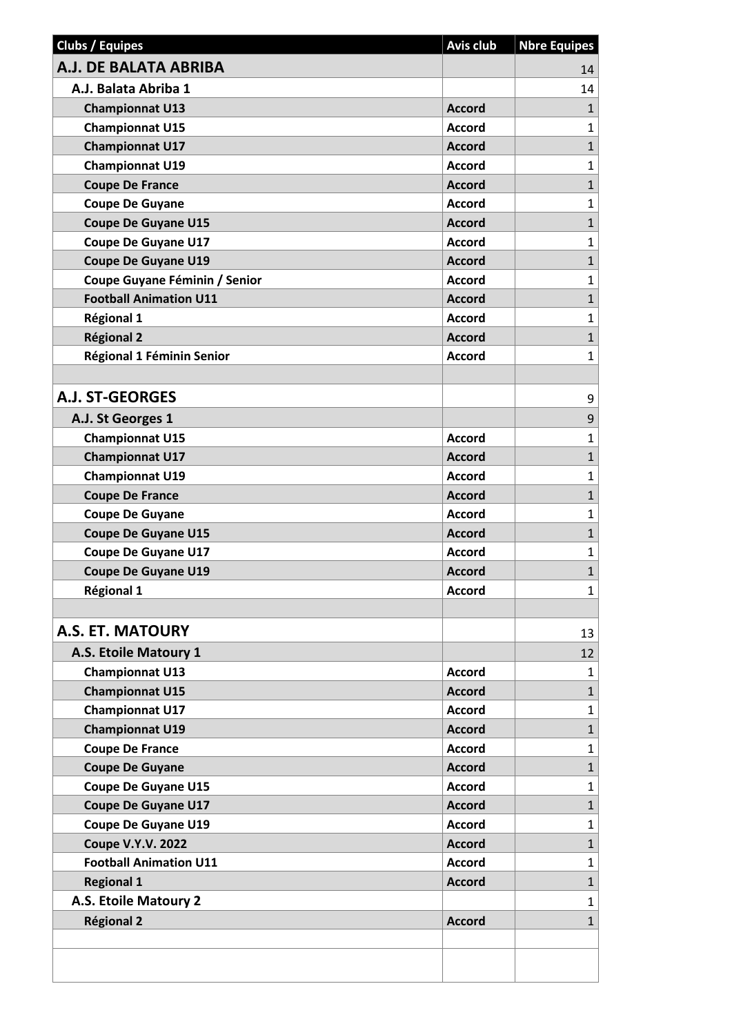| A.J. DE BALATA ABRIBA<br>14<br>A.J. Balata Abriba 1<br>14<br><b>Championnat U13</b><br><b>Accord</b><br>$\mathbf{1}$<br><b>Championnat U15</b><br>$\mathbf{1}$<br><b>Accord</b><br>$\mathbf{1}$<br><b>Championnat U17</b><br><b>Accord</b><br>$\mathbf{1}$<br><b>Championnat U19</b><br><b>Accord</b><br>$\mathbf{1}$<br><b>Coupe De France</b><br><b>Accord</b><br>$\mathbf{1}$<br><b>Coupe De Guyane</b><br><b>Accord</b><br>$\mathbf{1}$<br><b>Coupe De Guyane U15</b><br><b>Accord</b><br><b>Coupe De Guyane U17</b><br>$\mathbf{1}$<br><b>Accord</b><br>$\mathbf{1}$<br><b>Coupe De Guyane U19</b><br><b>Accord</b><br>Coupe Guyane Féminin / Senior<br>$\mathbf{1}$<br><b>Accord</b><br>$\overline{1}$<br><b>Football Animation U11</b><br><b>Accord</b><br><b>Régional 1</b><br>$\mathbf{1}$<br><b>Accord</b><br>$\mathbf{1}$<br><b>Régional 2</b><br><b>Accord</b><br>Régional 1 Féminin Senior<br>$\mathbf{1}$<br><b>Accord</b><br><b>A.J. ST-GEORGES</b><br>9<br>$\mathsf 9$<br>A.J. St Georges 1<br>$\mathbf{1}$<br><b>Championnat U15</b><br><b>Accord</b><br>$\mathbf{1}$<br><b>Championnat U17</b><br><b>Accord</b><br>$\mathbf{1}$<br><b>Championnat U19</b><br><b>Accord</b><br>$\mathbf{1}$<br><b>Coupe De France</b><br><b>Accord</b><br>$\mathbf{1}$<br><b>Coupe De Guyane</b><br><b>Accord</b><br>$\mathbf{1}$<br><b>Coupe De Guyane U15</b><br><b>Accord</b><br>$\mathbf{1}$<br><b>Coupe De Guyane U17</b><br><b>Accord</b><br>$\mathbf{1}$<br><b>Coupe De Guyane U19</b><br><b>Accord</b><br>Régional 1<br><b>Accord</b><br>1<br>A.S. ET. MATOURY<br>13<br>A.S. Etoile Matoury 1<br>12<br><b>Championnat U13</b><br><b>Accord</b><br>$\mathbf{1}$<br><b>Championnat U15</b><br>$\mathbf{1}$<br><b>Accord</b><br><b>Championnat U17</b><br><b>Accord</b><br>$\mathbf{1}$<br>$\mathbf{1}$<br><b>Championnat U19</b><br><b>Accord</b><br>$\mathbf{1}$<br><b>Coupe De France</b><br><b>Accord</b><br><b>Coupe De Guyane</b><br><b>Accord</b><br>$\mathbf{1}$<br><b>Coupe De Guyane U15</b><br>$\mathbf{1}$<br><b>Accord</b><br><b>Coupe De Guyane U17</b><br>$\mathbf{1}$<br><b>Accord</b><br><b>Coupe De Guyane U19</b><br>$\mathbf{1}$<br><b>Accord</b><br>$\mathbf{1}$<br><b>Coupe V.Y.V. 2022</b><br><b>Accord</b><br><b>Football Animation U11</b><br><b>Accord</b><br>$\mathbf{1}$<br>$\mathbf{1}$<br><b>Regional 1</b><br><b>Accord</b><br>A.S. Etoile Matoury 2<br>1 | <b>Clubs / Equipes</b> | <b>Avis club</b> | <b>Nbre Equipes</b> |
|------------------------------------------------------------------------------------------------------------------------------------------------------------------------------------------------------------------------------------------------------------------------------------------------------------------------------------------------------------------------------------------------------------------------------------------------------------------------------------------------------------------------------------------------------------------------------------------------------------------------------------------------------------------------------------------------------------------------------------------------------------------------------------------------------------------------------------------------------------------------------------------------------------------------------------------------------------------------------------------------------------------------------------------------------------------------------------------------------------------------------------------------------------------------------------------------------------------------------------------------------------------------------------------------------------------------------------------------------------------------------------------------------------------------------------------------------------------------------------------------------------------------------------------------------------------------------------------------------------------------------------------------------------------------------------------------------------------------------------------------------------------------------------------------------------------------------------------------------------------------------------------------------------------------------------------------------------------------------------------------------------------------------------------------------------------------------------------------------------------------------------------------------------------------------------------------------------------------------------------------------------------------------------------------------------------------------------------------------------------------------------------------|------------------------|------------------|---------------------|
|                                                                                                                                                                                                                                                                                                                                                                                                                                                                                                                                                                                                                                                                                                                                                                                                                                                                                                                                                                                                                                                                                                                                                                                                                                                                                                                                                                                                                                                                                                                                                                                                                                                                                                                                                                                                                                                                                                                                                                                                                                                                                                                                                                                                                                                                                                                                                                                                |                        |                  |                     |
|                                                                                                                                                                                                                                                                                                                                                                                                                                                                                                                                                                                                                                                                                                                                                                                                                                                                                                                                                                                                                                                                                                                                                                                                                                                                                                                                                                                                                                                                                                                                                                                                                                                                                                                                                                                                                                                                                                                                                                                                                                                                                                                                                                                                                                                                                                                                                                                                |                        |                  |                     |
|                                                                                                                                                                                                                                                                                                                                                                                                                                                                                                                                                                                                                                                                                                                                                                                                                                                                                                                                                                                                                                                                                                                                                                                                                                                                                                                                                                                                                                                                                                                                                                                                                                                                                                                                                                                                                                                                                                                                                                                                                                                                                                                                                                                                                                                                                                                                                                                                |                        |                  |                     |
|                                                                                                                                                                                                                                                                                                                                                                                                                                                                                                                                                                                                                                                                                                                                                                                                                                                                                                                                                                                                                                                                                                                                                                                                                                                                                                                                                                                                                                                                                                                                                                                                                                                                                                                                                                                                                                                                                                                                                                                                                                                                                                                                                                                                                                                                                                                                                                                                |                        |                  |                     |
|                                                                                                                                                                                                                                                                                                                                                                                                                                                                                                                                                                                                                                                                                                                                                                                                                                                                                                                                                                                                                                                                                                                                                                                                                                                                                                                                                                                                                                                                                                                                                                                                                                                                                                                                                                                                                                                                                                                                                                                                                                                                                                                                                                                                                                                                                                                                                                                                |                        |                  |                     |
|                                                                                                                                                                                                                                                                                                                                                                                                                                                                                                                                                                                                                                                                                                                                                                                                                                                                                                                                                                                                                                                                                                                                                                                                                                                                                                                                                                                                                                                                                                                                                                                                                                                                                                                                                                                                                                                                                                                                                                                                                                                                                                                                                                                                                                                                                                                                                                                                |                        |                  |                     |
|                                                                                                                                                                                                                                                                                                                                                                                                                                                                                                                                                                                                                                                                                                                                                                                                                                                                                                                                                                                                                                                                                                                                                                                                                                                                                                                                                                                                                                                                                                                                                                                                                                                                                                                                                                                                                                                                                                                                                                                                                                                                                                                                                                                                                                                                                                                                                                                                |                        |                  |                     |
|                                                                                                                                                                                                                                                                                                                                                                                                                                                                                                                                                                                                                                                                                                                                                                                                                                                                                                                                                                                                                                                                                                                                                                                                                                                                                                                                                                                                                                                                                                                                                                                                                                                                                                                                                                                                                                                                                                                                                                                                                                                                                                                                                                                                                                                                                                                                                                                                |                        |                  |                     |
|                                                                                                                                                                                                                                                                                                                                                                                                                                                                                                                                                                                                                                                                                                                                                                                                                                                                                                                                                                                                                                                                                                                                                                                                                                                                                                                                                                                                                                                                                                                                                                                                                                                                                                                                                                                                                                                                                                                                                                                                                                                                                                                                                                                                                                                                                                                                                                                                |                        |                  |                     |
|                                                                                                                                                                                                                                                                                                                                                                                                                                                                                                                                                                                                                                                                                                                                                                                                                                                                                                                                                                                                                                                                                                                                                                                                                                                                                                                                                                                                                                                                                                                                                                                                                                                                                                                                                                                                                                                                                                                                                                                                                                                                                                                                                                                                                                                                                                                                                                                                |                        |                  |                     |
|                                                                                                                                                                                                                                                                                                                                                                                                                                                                                                                                                                                                                                                                                                                                                                                                                                                                                                                                                                                                                                                                                                                                                                                                                                                                                                                                                                                                                                                                                                                                                                                                                                                                                                                                                                                                                                                                                                                                                                                                                                                                                                                                                                                                                                                                                                                                                                                                |                        |                  |                     |
|                                                                                                                                                                                                                                                                                                                                                                                                                                                                                                                                                                                                                                                                                                                                                                                                                                                                                                                                                                                                                                                                                                                                                                                                                                                                                                                                                                                                                                                                                                                                                                                                                                                                                                                                                                                                                                                                                                                                                                                                                                                                                                                                                                                                                                                                                                                                                                                                |                        |                  |                     |
|                                                                                                                                                                                                                                                                                                                                                                                                                                                                                                                                                                                                                                                                                                                                                                                                                                                                                                                                                                                                                                                                                                                                                                                                                                                                                                                                                                                                                                                                                                                                                                                                                                                                                                                                                                                                                                                                                                                                                                                                                                                                                                                                                                                                                                                                                                                                                                                                |                        |                  |                     |
|                                                                                                                                                                                                                                                                                                                                                                                                                                                                                                                                                                                                                                                                                                                                                                                                                                                                                                                                                                                                                                                                                                                                                                                                                                                                                                                                                                                                                                                                                                                                                                                                                                                                                                                                                                                                                                                                                                                                                                                                                                                                                                                                                                                                                                                                                                                                                                                                |                        |                  |                     |
|                                                                                                                                                                                                                                                                                                                                                                                                                                                                                                                                                                                                                                                                                                                                                                                                                                                                                                                                                                                                                                                                                                                                                                                                                                                                                                                                                                                                                                                                                                                                                                                                                                                                                                                                                                                                                                                                                                                                                                                                                                                                                                                                                                                                                                                                                                                                                                                                |                        |                  |                     |
|                                                                                                                                                                                                                                                                                                                                                                                                                                                                                                                                                                                                                                                                                                                                                                                                                                                                                                                                                                                                                                                                                                                                                                                                                                                                                                                                                                                                                                                                                                                                                                                                                                                                                                                                                                                                                                                                                                                                                                                                                                                                                                                                                                                                                                                                                                                                                                                                |                        |                  |                     |
|                                                                                                                                                                                                                                                                                                                                                                                                                                                                                                                                                                                                                                                                                                                                                                                                                                                                                                                                                                                                                                                                                                                                                                                                                                                                                                                                                                                                                                                                                                                                                                                                                                                                                                                                                                                                                                                                                                                                                                                                                                                                                                                                                                                                                                                                                                                                                                                                |                        |                  |                     |
|                                                                                                                                                                                                                                                                                                                                                                                                                                                                                                                                                                                                                                                                                                                                                                                                                                                                                                                                                                                                                                                                                                                                                                                                                                                                                                                                                                                                                                                                                                                                                                                                                                                                                                                                                                                                                                                                                                                                                                                                                                                                                                                                                                                                                                                                                                                                                                                                |                        |                  |                     |
|                                                                                                                                                                                                                                                                                                                                                                                                                                                                                                                                                                                                                                                                                                                                                                                                                                                                                                                                                                                                                                                                                                                                                                                                                                                                                                                                                                                                                                                                                                                                                                                                                                                                                                                                                                                                                                                                                                                                                                                                                                                                                                                                                                                                                                                                                                                                                                                                |                        |                  |                     |
|                                                                                                                                                                                                                                                                                                                                                                                                                                                                                                                                                                                                                                                                                                                                                                                                                                                                                                                                                                                                                                                                                                                                                                                                                                                                                                                                                                                                                                                                                                                                                                                                                                                                                                                                                                                                                                                                                                                                                                                                                                                                                                                                                                                                                                                                                                                                                                                                |                        |                  |                     |
|                                                                                                                                                                                                                                                                                                                                                                                                                                                                                                                                                                                                                                                                                                                                                                                                                                                                                                                                                                                                                                                                                                                                                                                                                                                                                                                                                                                                                                                                                                                                                                                                                                                                                                                                                                                                                                                                                                                                                                                                                                                                                                                                                                                                                                                                                                                                                                                                |                        |                  |                     |
|                                                                                                                                                                                                                                                                                                                                                                                                                                                                                                                                                                                                                                                                                                                                                                                                                                                                                                                                                                                                                                                                                                                                                                                                                                                                                                                                                                                                                                                                                                                                                                                                                                                                                                                                                                                                                                                                                                                                                                                                                                                                                                                                                                                                                                                                                                                                                                                                |                        |                  |                     |
|                                                                                                                                                                                                                                                                                                                                                                                                                                                                                                                                                                                                                                                                                                                                                                                                                                                                                                                                                                                                                                                                                                                                                                                                                                                                                                                                                                                                                                                                                                                                                                                                                                                                                                                                                                                                                                                                                                                                                                                                                                                                                                                                                                                                                                                                                                                                                                                                |                        |                  |                     |
|                                                                                                                                                                                                                                                                                                                                                                                                                                                                                                                                                                                                                                                                                                                                                                                                                                                                                                                                                                                                                                                                                                                                                                                                                                                                                                                                                                                                                                                                                                                                                                                                                                                                                                                                                                                                                                                                                                                                                                                                                                                                                                                                                                                                                                                                                                                                                                                                |                        |                  |                     |
|                                                                                                                                                                                                                                                                                                                                                                                                                                                                                                                                                                                                                                                                                                                                                                                                                                                                                                                                                                                                                                                                                                                                                                                                                                                                                                                                                                                                                                                                                                                                                                                                                                                                                                                                                                                                                                                                                                                                                                                                                                                                                                                                                                                                                                                                                                                                                                                                |                        |                  |                     |
|                                                                                                                                                                                                                                                                                                                                                                                                                                                                                                                                                                                                                                                                                                                                                                                                                                                                                                                                                                                                                                                                                                                                                                                                                                                                                                                                                                                                                                                                                                                                                                                                                                                                                                                                                                                                                                                                                                                                                                                                                                                                                                                                                                                                                                                                                                                                                                                                |                        |                  |                     |
|                                                                                                                                                                                                                                                                                                                                                                                                                                                                                                                                                                                                                                                                                                                                                                                                                                                                                                                                                                                                                                                                                                                                                                                                                                                                                                                                                                                                                                                                                                                                                                                                                                                                                                                                                                                                                                                                                                                                                                                                                                                                                                                                                                                                                                                                                                                                                                                                |                        |                  |                     |
|                                                                                                                                                                                                                                                                                                                                                                                                                                                                                                                                                                                                                                                                                                                                                                                                                                                                                                                                                                                                                                                                                                                                                                                                                                                                                                                                                                                                                                                                                                                                                                                                                                                                                                                                                                                                                                                                                                                                                                                                                                                                                                                                                                                                                                                                                                                                                                                                |                        |                  |                     |
|                                                                                                                                                                                                                                                                                                                                                                                                                                                                                                                                                                                                                                                                                                                                                                                                                                                                                                                                                                                                                                                                                                                                                                                                                                                                                                                                                                                                                                                                                                                                                                                                                                                                                                                                                                                                                                                                                                                                                                                                                                                                                                                                                                                                                                                                                                                                                                                                |                        |                  |                     |
|                                                                                                                                                                                                                                                                                                                                                                                                                                                                                                                                                                                                                                                                                                                                                                                                                                                                                                                                                                                                                                                                                                                                                                                                                                                                                                                                                                                                                                                                                                                                                                                                                                                                                                                                                                                                                                                                                                                                                                                                                                                                                                                                                                                                                                                                                                                                                                                                |                        |                  |                     |
|                                                                                                                                                                                                                                                                                                                                                                                                                                                                                                                                                                                                                                                                                                                                                                                                                                                                                                                                                                                                                                                                                                                                                                                                                                                                                                                                                                                                                                                                                                                                                                                                                                                                                                                                                                                                                                                                                                                                                                                                                                                                                                                                                                                                                                                                                                                                                                                                |                        |                  |                     |
|                                                                                                                                                                                                                                                                                                                                                                                                                                                                                                                                                                                                                                                                                                                                                                                                                                                                                                                                                                                                                                                                                                                                                                                                                                                                                                                                                                                                                                                                                                                                                                                                                                                                                                                                                                                                                                                                                                                                                                                                                                                                                                                                                                                                                                                                                                                                                                                                |                        |                  |                     |
|                                                                                                                                                                                                                                                                                                                                                                                                                                                                                                                                                                                                                                                                                                                                                                                                                                                                                                                                                                                                                                                                                                                                                                                                                                                                                                                                                                                                                                                                                                                                                                                                                                                                                                                                                                                                                                                                                                                                                                                                                                                                                                                                                                                                                                                                                                                                                                                                |                        |                  |                     |
|                                                                                                                                                                                                                                                                                                                                                                                                                                                                                                                                                                                                                                                                                                                                                                                                                                                                                                                                                                                                                                                                                                                                                                                                                                                                                                                                                                                                                                                                                                                                                                                                                                                                                                                                                                                                                                                                                                                                                                                                                                                                                                                                                                                                                                                                                                                                                                                                |                        |                  |                     |
|                                                                                                                                                                                                                                                                                                                                                                                                                                                                                                                                                                                                                                                                                                                                                                                                                                                                                                                                                                                                                                                                                                                                                                                                                                                                                                                                                                                                                                                                                                                                                                                                                                                                                                                                                                                                                                                                                                                                                                                                                                                                                                                                                                                                                                                                                                                                                                                                |                        |                  |                     |
|                                                                                                                                                                                                                                                                                                                                                                                                                                                                                                                                                                                                                                                                                                                                                                                                                                                                                                                                                                                                                                                                                                                                                                                                                                                                                                                                                                                                                                                                                                                                                                                                                                                                                                                                                                                                                                                                                                                                                                                                                                                                                                                                                                                                                                                                                                                                                                                                |                        |                  |                     |
|                                                                                                                                                                                                                                                                                                                                                                                                                                                                                                                                                                                                                                                                                                                                                                                                                                                                                                                                                                                                                                                                                                                                                                                                                                                                                                                                                                                                                                                                                                                                                                                                                                                                                                                                                                                                                                                                                                                                                                                                                                                                                                                                                                                                                                                                                                                                                                                                |                        |                  |                     |
|                                                                                                                                                                                                                                                                                                                                                                                                                                                                                                                                                                                                                                                                                                                                                                                                                                                                                                                                                                                                                                                                                                                                                                                                                                                                                                                                                                                                                                                                                                                                                                                                                                                                                                                                                                                                                                                                                                                                                                                                                                                                                                                                                                                                                                                                                                                                                                                                |                        |                  |                     |
|                                                                                                                                                                                                                                                                                                                                                                                                                                                                                                                                                                                                                                                                                                                                                                                                                                                                                                                                                                                                                                                                                                                                                                                                                                                                                                                                                                                                                                                                                                                                                                                                                                                                                                                                                                                                                                                                                                                                                                                                                                                                                                                                                                                                                                                                                                                                                                                                |                        |                  |                     |
|                                                                                                                                                                                                                                                                                                                                                                                                                                                                                                                                                                                                                                                                                                                                                                                                                                                                                                                                                                                                                                                                                                                                                                                                                                                                                                                                                                                                                                                                                                                                                                                                                                                                                                                                                                                                                                                                                                                                                                                                                                                                                                                                                                                                                                                                                                                                                                                                |                        |                  |                     |
|                                                                                                                                                                                                                                                                                                                                                                                                                                                                                                                                                                                                                                                                                                                                                                                                                                                                                                                                                                                                                                                                                                                                                                                                                                                                                                                                                                                                                                                                                                                                                                                                                                                                                                                                                                                                                                                                                                                                                                                                                                                                                                                                                                                                                                                                                                                                                                                                |                        |                  |                     |
|                                                                                                                                                                                                                                                                                                                                                                                                                                                                                                                                                                                                                                                                                                                                                                                                                                                                                                                                                                                                                                                                                                                                                                                                                                                                                                                                                                                                                                                                                                                                                                                                                                                                                                                                                                                                                                                                                                                                                                                                                                                                                                                                                                                                                                                                                                                                                                                                |                        |                  |                     |
|                                                                                                                                                                                                                                                                                                                                                                                                                                                                                                                                                                                                                                                                                                                                                                                                                                                                                                                                                                                                                                                                                                                                                                                                                                                                                                                                                                                                                                                                                                                                                                                                                                                                                                                                                                                                                                                                                                                                                                                                                                                                                                                                                                                                                                                                                                                                                                                                |                        |                  |                     |
|                                                                                                                                                                                                                                                                                                                                                                                                                                                                                                                                                                                                                                                                                                                                                                                                                                                                                                                                                                                                                                                                                                                                                                                                                                                                                                                                                                                                                                                                                                                                                                                                                                                                                                                                                                                                                                                                                                                                                                                                                                                                                                                                                                                                                                                                                                                                                                                                |                        |                  |                     |
|                                                                                                                                                                                                                                                                                                                                                                                                                                                                                                                                                                                                                                                                                                                                                                                                                                                                                                                                                                                                                                                                                                                                                                                                                                                                                                                                                                                                                                                                                                                                                                                                                                                                                                                                                                                                                                                                                                                                                                                                                                                                                                                                                                                                                                                                                                                                                                                                |                        |                  |                     |
| <b>Régional 2</b><br>$\mathbf{1}$<br><b>Accord</b>                                                                                                                                                                                                                                                                                                                                                                                                                                                                                                                                                                                                                                                                                                                                                                                                                                                                                                                                                                                                                                                                                                                                                                                                                                                                                                                                                                                                                                                                                                                                                                                                                                                                                                                                                                                                                                                                                                                                                                                                                                                                                                                                                                                                                                                                                                                                             |                        |                  |                     |
|                                                                                                                                                                                                                                                                                                                                                                                                                                                                                                                                                                                                                                                                                                                                                                                                                                                                                                                                                                                                                                                                                                                                                                                                                                                                                                                                                                                                                                                                                                                                                                                                                                                                                                                                                                                                                                                                                                                                                                                                                                                                                                                                                                                                                                                                                                                                                                                                |                        |                  |                     |
|                                                                                                                                                                                                                                                                                                                                                                                                                                                                                                                                                                                                                                                                                                                                                                                                                                                                                                                                                                                                                                                                                                                                                                                                                                                                                                                                                                                                                                                                                                                                                                                                                                                                                                                                                                                                                                                                                                                                                                                                                                                                                                                                                                                                                                                                                                                                                                                                |                        |                  |                     |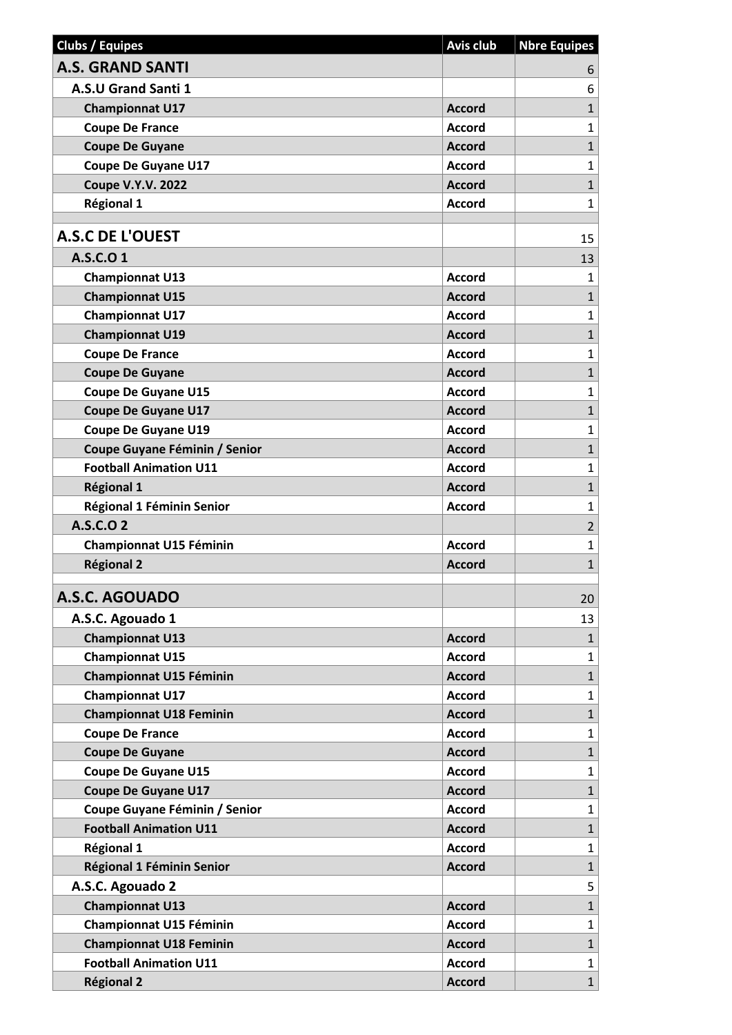| <b>A.S. GRAND SANTI</b><br>6<br>A.S.U Grand Santi 1<br>6<br>$\mathbf{1}$<br><b>Championnat U17</b><br><b>Accord</b><br><b>Coupe De France</b><br>$\mathbf{1}$<br><b>Accord</b><br>$\mathbf{1}$<br><b>Coupe De Guyane</b><br><b>Accord</b><br>$\mathbf{1}$<br><b>Coupe De Guyane U17</b><br><b>Accord</b><br>$\mathbf{1}$<br><b>Coupe V.Y.V. 2022</b><br><b>Accord</b><br>$\mathbf{1}$<br><b>Régional 1</b><br><b>Accord</b><br><b>A.S.C DE L'OUEST</b><br>15<br>A.S.C.O 1<br>13<br><b>Championnat U13</b><br><b>Accord</b><br>$\mathbf{1}$<br><b>Championnat U15</b><br><b>Accord</b><br>$\mathbf{1}$<br>$\mathbf{1}$<br><b>Championnat U17</b><br>Accord<br>$\mathbf{1}$<br><b>Championnat U19</b><br><b>Accord</b><br><b>Coupe De France</b><br>$\mathbf{1}$<br><b>Accord</b><br>$\mathbf{1}$<br><b>Coupe De Guyane</b><br><b>Accord</b><br>$\mathbf{1}$<br><b>Coupe De Guyane U15</b><br><b>Accord</b><br>$\mathbf{1}$<br><b>Coupe De Guyane U17</b><br><b>Accord</b><br><b>Coupe De Guyane U19</b><br>$\mathbf{1}$<br><b>Accord</b><br>$\mathbf{1}$<br>Coupe Guyane Féminin / Senior<br><b>Accord</b><br><b>Football Animation U11</b><br>$\mathbf{1}$<br><b>Accord</b><br>$\mathbf{1}$<br><b>Régional 1</b><br><b>Accord</b><br>$\mathbf{1}$<br>Régional 1 Féminin Senior<br><b>Accord</b><br>A.S.C.O 2<br>$\overline{2}$<br>$\mathbf{1}$<br>Championnat U15 Féminin<br><b>Accord</b><br>$\mathbf{1}$<br><b>Régional 2</b><br><b>Accord</b><br>A.S.C. AGOUADO<br>20<br>A.S.C. Agouado 1<br>13<br><b>Championnat U13</b><br>$\mathbf{1}$<br><b>Accord</b><br><b>Championnat U15</b><br>$\mathbf{1}$<br><b>Accord</b><br>$\mathbf{1}$<br><b>Championnat U15 Féminin</b><br><b>Accord</b><br><b>Championnat U17</b><br><b>Accord</b><br>$\mathbf{1}$<br>$\mathbf{1}$<br><b>Championnat U18 Feminin</b><br><b>Accord</b><br>$\mathbf{1}$<br><b>Coupe De France</b><br><b>Accord</b><br>$\mathbf{1}$<br><b>Coupe De Guyane</b><br><b>Accord</b><br>$\mathbf{1}$<br><b>Coupe De Guyane U15</b><br><b>Accord</b><br><b>Coupe De Guyane U17</b><br>$\mathbf{1}$<br><b>Accord</b><br>Coupe Guyane Féminin / Senior<br>$\mathbf{1}$<br><b>Accord</b><br><b>Football Animation U11</b><br>$\mathbf{1}$<br><b>Accord</b><br>Régional 1<br><b>Accord</b><br>$\mathbf{1}$<br>$\mathbf{1}$<br>Régional 1 Féminin Senior<br><b>Accord</b><br>A.S.C. Agouado 2<br>5<br>$\mathbf{1}$<br><b>Championnat U13</b><br><b>Accord</b><br>Championnat U15 Féminin<br>$\mathbf{1}$<br><b>Accord</b><br>$\mathbf{1}$<br><b>Championnat U18 Feminin</b><br><b>Accord</b><br>$\mathbf{1}$<br><b>Football Animation U11</b><br><b>Accord</b><br><b>Régional 2</b><br>$\mathbf{1}$<br><b>Accord</b> | <b>Clubs / Equipes</b> | <b>Avis club</b> | <b>Nbre Equipes</b> |
|---------------------------------------------------------------------------------------------------------------------------------------------------------------------------------------------------------------------------------------------------------------------------------------------------------------------------------------------------------------------------------------------------------------------------------------------------------------------------------------------------------------------------------------------------------------------------------------------------------------------------------------------------------------------------------------------------------------------------------------------------------------------------------------------------------------------------------------------------------------------------------------------------------------------------------------------------------------------------------------------------------------------------------------------------------------------------------------------------------------------------------------------------------------------------------------------------------------------------------------------------------------------------------------------------------------------------------------------------------------------------------------------------------------------------------------------------------------------------------------------------------------------------------------------------------------------------------------------------------------------------------------------------------------------------------------------------------------------------------------------------------------------------------------------------------------------------------------------------------------------------------------------------------------------------------------------------------------------------------------------------------------------------------------------------------------------------------------------------------------------------------------------------------------------------------------------------------------------------------------------------------------------------------------------------------------------------------------------------------------------------------------------------------------------------------------------------------------------------------------------------------------------------------------------------------------------------------------------------------------------------------------------------------------------------|------------------------|------------------|---------------------|
|                                                                                                                                                                                                                                                                                                                                                                                                                                                                                                                                                                                                                                                                                                                                                                                                                                                                                                                                                                                                                                                                                                                                                                                                                                                                                                                                                                                                                                                                                                                                                                                                                                                                                                                                                                                                                                                                                                                                                                                                                                                                                                                                                                                                                                                                                                                                                                                                                                                                                                                                                                                                                                                                           |                        |                  |                     |
|                                                                                                                                                                                                                                                                                                                                                                                                                                                                                                                                                                                                                                                                                                                                                                                                                                                                                                                                                                                                                                                                                                                                                                                                                                                                                                                                                                                                                                                                                                                                                                                                                                                                                                                                                                                                                                                                                                                                                                                                                                                                                                                                                                                                                                                                                                                                                                                                                                                                                                                                                                                                                                                                           |                        |                  |                     |
|                                                                                                                                                                                                                                                                                                                                                                                                                                                                                                                                                                                                                                                                                                                                                                                                                                                                                                                                                                                                                                                                                                                                                                                                                                                                                                                                                                                                                                                                                                                                                                                                                                                                                                                                                                                                                                                                                                                                                                                                                                                                                                                                                                                                                                                                                                                                                                                                                                                                                                                                                                                                                                                                           |                        |                  |                     |
|                                                                                                                                                                                                                                                                                                                                                                                                                                                                                                                                                                                                                                                                                                                                                                                                                                                                                                                                                                                                                                                                                                                                                                                                                                                                                                                                                                                                                                                                                                                                                                                                                                                                                                                                                                                                                                                                                                                                                                                                                                                                                                                                                                                                                                                                                                                                                                                                                                                                                                                                                                                                                                                                           |                        |                  |                     |
|                                                                                                                                                                                                                                                                                                                                                                                                                                                                                                                                                                                                                                                                                                                                                                                                                                                                                                                                                                                                                                                                                                                                                                                                                                                                                                                                                                                                                                                                                                                                                                                                                                                                                                                                                                                                                                                                                                                                                                                                                                                                                                                                                                                                                                                                                                                                                                                                                                                                                                                                                                                                                                                                           |                        |                  |                     |
|                                                                                                                                                                                                                                                                                                                                                                                                                                                                                                                                                                                                                                                                                                                                                                                                                                                                                                                                                                                                                                                                                                                                                                                                                                                                                                                                                                                                                                                                                                                                                                                                                                                                                                                                                                                                                                                                                                                                                                                                                                                                                                                                                                                                                                                                                                                                                                                                                                                                                                                                                                                                                                                                           |                        |                  |                     |
|                                                                                                                                                                                                                                                                                                                                                                                                                                                                                                                                                                                                                                                                                                                                                                                                                                                                                                                                                                                                                                                                                                                                                                                                                                                                                                                                                                                                                                                                                                                                                                                                                                                                                                                                                                                                                                                                                                                                                                                                                                                                                                                                                                                                                                                                                                                                                                                                                                                                                                                                                                                                                                                                           |                        |                  |                     |
|                                                                                                                                                                                                                                                                                                                                                                                                                                                                                                                                                                                                                                                                                                                                                                                                                                                                                                                                                                                                                                                                                                                                                                                                                                                                                                                                                                                                                                                                                                                                                                                                                                                                                                                                                                                                                                                                                                                                                                                                                                                                                                                                                                                                                                                                                                                                                                                                                                                                                                                                                                                                                                                                           |                        |                  |                     |
|                                                                                                                                                                                                                                                                                                                                                                                                                                                                                                                                                                                                                                                                                                                                                                                                                                                                                                                                                                                                                                                                                                                                                                                                                                                                                                                                                                                                                                                                                                                                                                                                                                                                                                                                                                                                                                                                                                                                                                                                                                                                                                                                                                                                                                                                                                                                                                                                                                                                                                                                                                                                                                                                           |                        |                  |                     |
|                                                                                                                                                                                                                                                                                                                                                                                                                                                                                                                                                                                                                                                                                                                                                                                                                                                                                                                                                                                                                                                                                                                                                                                                                                                                                                                                                                                                                                                                                                                                                                                                                                                                                                                                                                                                                                                                                                                                                                                                                                                                                                                                                                                                                                                                                                                                                                                                                                                                                                                                                                                                                                                                           |                        |                  |                     |
|                                                                                                                                                                                                                                                                                                                                                                                                                                                                                                                                                                                                                                                                                                                                                                                                                                                                                                                                                                                                                                                                                                                                                                                                                                                                                                                                                                                                                                                                                                                                                                                                                                                                                                                                                                                                                                                                                                                                                                                                                                                                                                                                                                                                                                                                                                                                                                                                                                                                                                                                                                                                                                                                           |                        |                  |                     |
|                                                                                                                                                                                                                                                                                                                                                                                                                                                                                                                                                                                                                                                                                                                                                                                                                                                                                                                                                                                                                                                                                                                                                                                                                                                                                                                                                                                                                                                                                                                                                                                                                                                                                                                                                                                                                                                                                                                                                                                                                                                                                                                                                                                                                                                                                                                                                                                                                                                                                                                                                                                                                                                                           |                        |                  |                     |
|                                                                                                                                                                                                                                                                                                                                                                                                                                                                                                                                                                                                                                                                                                                                                                                                                                                                                                                                                                                                                                                                                                                                                                                                                                                                                                                                                                                                                                                                                                                                                                                                                                                                                                                                                                                                                                                                                                                                                                                                                                                                                                                                                                                                                                                                                                                                                                                                                                                                                                                                                                                                                                                                           |                        |                  |                     |
|                                                                                                                                                                                                                                                                                                                                                                                                                                                                                                                                                                                                                                                                                                                                                                                                                                                                                                                                                                                                                                                                                                                                                                                                                                                                                                                                                                                                                                                                                                                                                                                                                                                                                                                                                                                                                                                                                                                                                                                                                                                                                                                                                                                                                                                                                                                                                                                                                                                                                                                                                                                                                                                                           |                        |                  |                     |
|                                                                                                                                                                                                                                                                                                                                                                                                                                                                                                                                                                                                                                                                                                                                                                                                                                                                                                                                                                                                                                                                                                                                                                                                                                                                                                                                                                                                                                                                                                                                                                                                                                                                                                                                                                                                                                                                                                                                                                                                                                                                                                                                                                                                                                                                                                                                                                                                                                                                                                                                                                                                                                                                           |                        |                  |                     |
|                                                                                                                                                                                                                                                                                                                                                                                                                                                                                                                                                                                                                                                                                                                                                                                                                                                                                                                                                                                                                                                                                                                                                                                                                                                                                                                                                                                                                                                                                                                                                                                                                                                                                                                                                                                                                                                                                                                                                                                                                                                                                                                                                                                                                                                                                                                                                                                                                                                                                                                                                                                                                                                                           |                        |                  |                     |
|                                                                                                                                                                                                                                                                                                                                                                                                                                                                                                                                                                                                                                                                                                                                                                                                                                                                                                                                                                                                                                                                                                                                                                                                                                                                                                                                                                                                                                                                                                                                                                                                                                                                                                                                                                                                                                                                                                                                                                                                                                                                                                                                                                                                                                                                                                                                                                                                                                                                                                                                                                                                                                                                           |                        |                  |                     |
|                                                                                                                                                                                                                                                                                                                                                                                                                                                                                                                                                                                                                                                                                                                                                                                                                                                                                                                                                                                                                                                                                                                                                                                                                                                                                                                                                                                                                                                                                                                                                                                                                                                                                                                                                                                                                                                                                                                                                                                                                                                                                                                                                                                                                                                                                                                                                                                                                                                                                                                                                                                                                                                                           |                        |                  |                     |
|                                                                                                                                                                                                                                                                                                                                                                                                                                                                                                                                                                                                                                                                                                                                                                                                                                                                                                                                                                                                                                                                                                                                                                                                                                                                                                                                                                                                                                                                                                                                                                                                                                                                                                                                                                                                                                                                                                                                                                                                                                                                                                                                                                                                                                                                                                                                                                                                                                                                                                                                                                                                                                                                           |                        |                  |                     |
|                                                                                                                                                                                                                                                                                                                                                                                                                                                                                                                                                                                                                                                                                                                                                                                                                                                                                                                                                                                                                                                                                                                                                                                                                                                                                                                                                                                                                                                                                                                                                                                                                                                                                                                                                                                                                                                                                                                                                                                                                                                                                                                                                                                                                                                                                                                                                                                                                                                                                                                                                                                                                                                                           |                        |                  |                     |
|                                                                                                                                                                                                                                                                                                                                                                                                                                                                                                                                                                                                                                                                                                                                                                                                                                                                                                                                                                                                                                                                                                                                                                                                                                                                                                                                                                                                                                                                                                                                                                                                                                                                                                                                                                                                                                                                                                                                                                                                                                                                                                                                                                                                                                                                                                                                                                                                                                                                                                                                                                                                                                                                           |                        |                  |                     |
|                                                                                                                                                                                                                                                                                                                                                                                                                                                                                                                                                                                                                                                                                                                                                                                                                                                                                                                                                                                                                                                                                                                                                                                                                                                                                                                                                                                                                                                                                                                                                                                                                                                                                                                                                                                                                                                                                                                                                                                                                                                                                                                                                                                                                                                                                                                                                                                                                                                                                                                                                                                                                                                                           |                        |                  |                     |
|                                                                                                                                                                                                                                                                                                                                                                                                                                                                                                                                                                                                                                                                                                                                                                                                                                                                                                                                                                                                                                                                                                                                                                                                                                                                                                                                                                                                                                                                                                                                                                                                                                                                                                                                                                                                                                                                                                                                                                                                                                                                                                                                                                                                                                                                                                                                                                                                                                                                                                                                                                                                                                                                           |                        |                  |                     |
|                                                                                                                                                                                                                                                                                                                                                                                                                                                                                                                                                                                                                                                                                                                                                                                                                                                                                                                                                                                                                                                                                                                                                                                                                                                                                                                                                                                                                                                                                                                                                                                                                                                                                                                                                                                                                                                                                                                                                                                                                                                                                                                                                                                                                                                                                                                                                                                                                                                                                                                                                                                                                                                                           |                        |                  |                     |
|                                                                                                                                                                                                                                                                                                                                                                                                                                                                                                                                                                                                                                                                                                                                                                                                                                                                                                                                                                                                                                                                                                                                                                                                                                                                                                                                                                                                                                                                                                                                                                                                                                                                                                                                                                                                                                                                                                                                                                                                                                                                                                                                                                                                                                                                                                                                                                                                                                                                                                                                                                                                                                                                           |                        |                  |                     |
|                                                                                                                                                                                                                                                                                                                                                                                                                                                                                                                                                                                                                                                                                                                                                                                                                                                                                                                                                                                                                                                                                                                                                                                                                                                                                                                                                                                                                                                                                                                                                                                                                                                                                                                                                                                                                                                                                                                                                                                                                                                                                                                                                                                                                                                                                                                                                                                                                                                                                                                                                                                                                                                                           |                        |                  |                     |
|                                                                                                                                                                                                                                                                                                                                                                                                                                                                                                                                                                                                                                                                                                                                                                                                                                                                                                                                                                                                                                                                                                                                                                                                                                                                                                                                                                                                                                                                                                                                                                                                                                                                                                                                                                                                                                                                                                                                                                                                                                                                                                                                                                                                                                                                                                                                                                                                                                                                                                                                                                                                                                                                           |                        |                  |                     |
|                                                                                                                                                                                                                                                                                                                                                                                                                                                                                                                                                                                                                                                                                                                                                                                                                                                                                                                                                                                                                                                                                                                                                                                                                                                                                                                                                                                                                                                                                                                                                                                                                                                                                                                                                                                                                                                                                                                                                                                                                                                                                                                                                                                                                                                                                                                                                                                                                                                                                                                                                                                                                                                                           |                        |                  |                     |
|                                                                                                                                                                                                                                                                                                                                                                                                                                                                                                                                                                                                                                                                                                                                                                                                                                                                                                                                                                                                                                                                                                                                                                                                                                                                                                                                                                                                                                                                                                                                                                                                                                                                                                                                                                                                                                                                                                                                                                                                                                                                                                                                                                                                                                                                                                                                                                                                                                                                                                                                                                                                                                                                           |                        |                  |                     |
|                                                                                                                                                                                                                                                                                                                                                                                                                                                                                                                                                                                                                                                                                                                                                                                                                                                                                                                                                                                                                                                                                                                                                                                                                                                                                                                                                                                                                                                                                                                                                                                                                                                                                                                                                                                                                                                                                                                                                                                                                                                                                                                                                                                                                                                                                                                                                                                                                                                                                                                                                                                                                                                                           |                        |                  |                     |
|                                                                                                                                                                                                                                                                                                                                                                                                                                                                                                                                                                                                                                                                                                                                                                                                                                                                                                                                                                                                                                                                                                                                                                                                                                                                                                                                                                                                                                                                                                                                                                                                                                                                                                                                                                                                                                                                                                                                                                                                                                                                                                                                                                                                                                                                                                                                                                                                                                                                                                                                                                                                                                                                           |                        |                  |                     |
|                                                                                                                                                                                                                                                                                                                                                                                                                                                                                                                                                                                                                                                                                                                                                                                                                                                                                                                                                                                                                                                                                                                                                                                                                                                                                                                                                                                                                                                                                                                                                                                                                                                                                                                                                                                                                                                                                                                                                                                                                                                                                                                                                                                                                                                                                                                                                                                                                                                                                                                                                                                                                                                                           |                        |                  |                     |
|                                                                                                                                                                                                                                                                                                                                                                                                                                                                                                                                                                                                                                                                                                                                                                                                                                                                                                                                                                                                                                                                                                                                                                                                                                                                                                                                                                                                                                                                                                                                                                                                                                                                                                                                                                                                                                                                                                                                                                                                                                                                                                                                                                                                                                                                                                                                                                                                                                                                                                                                                                                                                                                                           |                        |                  |                     |
|                                                                                                                                                                                                                                                                                                                                                                                                                                                                                                                                                                                                                                                                                                                                                                                                                                                                                                                                                                                                                                                                                                                                                                                                                                                                                                                                                                                                                                                                                                                                                                                                                                                                                                                                                                                                                                                                                                                                                                                                                                                                                                                                                                                                                                                                                                                                                                                                                                                                                                                                                                                                                                                                           |                        |                  |                     |
|                                                                                                                                                                                                                                                                                                                                                                                                                                                                                                                                                                                                                                                                                                                                                                                                                                                                                                                                                                                                                                                                                                                                                                                                                                                                                                                                                                                                                                                                                                                                                                                                                                                                                                                                                                                                                                                                                                                                                                                                                                                                                                                                                                                                                                                                                                                                                                                                                                                                                                                                                                                                                                                                           |                        |                  |                     |
|                                                                                                                                                                                                                                                                                                                                                                                                                                                                                                                                                                                                                                                                                                                                                                                                                                                                                                                                                                                                                                                                                                                                                                                                                                                                                                                                                                                                                                                                                                                                                                                                                                                                                                                                                                                                                                                                                                                                                                                                                                                                                                                                                                                                                                                                                                                                                                                                                                                                                                                                                                                                                                                                           |                        |                  |                     |
|                                                                                                                                                                                                                                                                                                                                                                                                                                                                                                                                                                                                                                                                                                                                                                                                                                                                                                                                                                                                                                                                                                                                                                                                                                                                                                                                                                                                                                                                                                                                                                                                                                                                                                                                                                                                                                                                                                                                                                                                                                                                                                                                                                                                                                                                                                                                                                                                                                                                                                                                                                                                                                                                           |                        |                  |                     |
|                                                                                                                                                                                                                                                                                                                                                                                                                                                                                                                                                                                                                                                                                                                                                                                                                                                                                                                                                                                                                                                                                                                                                                                                                                                                                                                                                                                                                                                                                                                                                                                                                                                                                                                                                                                                                                                                                                                                                                                                                                                                                                                                                                                                                                                                                                                                                                                                                                                                                                                                                                                                                                                                           |                        |                  |                     |
|                                                                                                                                                                                                                                                                                                                                                                                                                                                                                                                                                                                                                                                                                                                                                                                                                                                                                                                                                                                                                                                                                                                                                                                                                                                                                                                                                                                                                                                                                                                                                                                                                                                                                                                                                                                                                                                                                                                                                                                                                                                                                                                                                                                                                                                                                                                                                                                                                                                                                                                                                                                                                                                                           |                        |                  |                     |
|                                                                                                                                                                                                                                                                                                                                                                                                                                                                                                                                                                                                                                                                                                                                                                                                                                                                                                                                                                                                                                                                                                                                                                                                                                                                                                                                                                                                                                                                                                                                                                                                                                                                                                                                                                                                                                                                                                                                                                                                                                                                                                                                                                                                                                                                                                                                                                                                                                                                                                                                                                                                                                                                           |                        |                  |                     |
|                                                                                                                                                                                                                                                                                                                                                                                                                                                                                                                                                                                                                                                                                                                                                                                                                                                                                                                                                                                                                                                                                                                                                                                                                                                                                                                                                                                                                                                                                                                                                                                                                                                                                                                                                                                                                                                                                                                                                                                                                                                                                                                                                                                                                                                                                                                                                                                                                                                                                                                                                                                                                                                                           |                        |                  |                     |
|                                                                                                                                                                                                                                                                                                                                                                                                                                                                                                                                                                                                                                                                                                                                                                                                                                                                                                                                                                                                                                                                                                                                                                                                                                                                                                                                                                                                                                                                                                                                                                                                                                                                                                                                                                                                                                                                                                                                                                                                                                                                                                                                                                                                                                                                                                                                                                                                                                                                                                                                                                                                                                                                           |                        |                  |                     |
|                                                                                                                                                                                                                                                                                                                                                                                                                                                                                                                                                                                                                                                                                                                                                                                                                                                                                                                                                                                                                                                                                                                                                                                                                                                                                                                                                                                                                                                                                                                                                                                                                                                                                                                                                                                                                                                                                                                                                                                                                                                                                                                                                                                                                                                                                                                                                                                                                                                                                                                                                                                                                                                                           |                        |                  |                     |
|                                                                                                                                                                                                                                                                                                                                                                                                                                                                                                                                                                                                                                                                                                                                                                                                                                                                                                                                                                                                                                                                                                                                                                                                                                                                                                                                                                                                                                                                                                                                                                                                                                                                                                                                                                                                                                                                                                                                                                                                                                                                                                                                                                                                                                                                                                                                                                                                                                                                                                                                                                                                                                                                           |                        |                  |                     |
|                                                                                                                                                                                                                                                                                                                                                                                                                                                                                                                                                                                                                                                                                                                                                                                                                                                                                                                                                                                                                                                                                                                                                                                                                                                                                                                                                                                                                                                                                                                                                                                                                                                                                                                                                                                                                                                                                                                                                                                                                                                                                                                                                                                                                                                                                                                                                                                                                                                                                                                                                                                                                                                                           |                        |                  |                     |
|                                                                                                                                                                                                                                                                                                                                                                                                                                                                                                                                                                                                                                                                                                                                                                                                                                                                                                                                                                                                                                                                                                                                                                                                                                                                                                                                                                                                                                                                                                                                                                                                                                                                                                                                                                                                                                                                                                                                                                                                                                                                                                                                                                                                                                                                                                                                                                                                                                                                                                                                                                                                                                                                           |                        |                  |                     |
|                                                                                                                                                                                                                                                                                                                                                                                                                                                                                                                                                                                                                                                                                                                                                                                                                                                                                                                                                                                                                                                                                                                                                                                                                                                                                                                                                                                                                                                                                                                                                                                                                                                                                                                                                                                                                                                                                                                                                                                                                                                                                                                                                                                                                                                                                                                                                                                                                                                                                                                                                                                                                                                                           |                        |                  |                     |
|                                                                                                                                                                                                                                                                                                                                                                                                                                                                                                                                                                                                                                                                                                                                                                                                                                                                                                                                                                                                                                                                                                                                                                                                                                                                                                                                                                                                                                                                                                                                                                                                                                                                                                                                                                                                                                                                                                                                                                                                                                                                                                                                                                                                                                                                                                                                                                                                                                                                                                                                                                                                                                                                           |                        |                  |                     |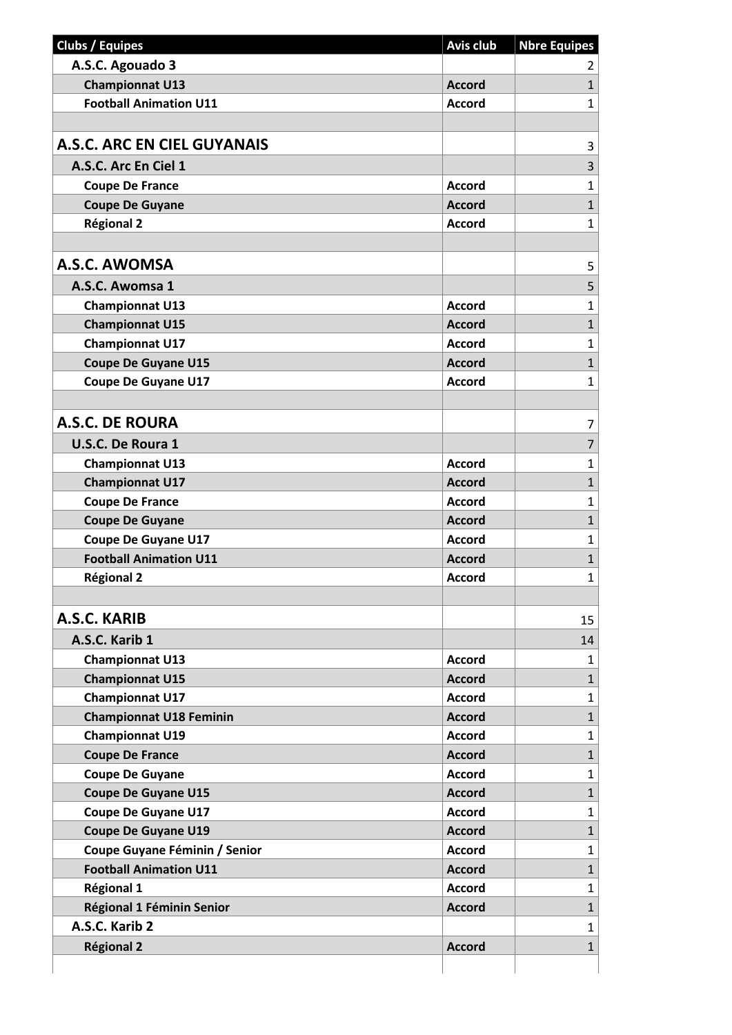| <b>Accord</b><br><b>Accord</b><br><b>Accord</b><br><b>Accord</b><br><b>Accord</b><br><b>Accord</b><br><b>Accord</b><br><b>Accord</b><br><b>Accord</b><br><b>Accord</b> | 2<br>$\mathbf{1}$<br>$\mathbf{1}$<br>3<br>3<br>$\mathbf 1$<br>$\mathbf{1}$<br>$\mathbf{1}$<br>5<br>5<br>1<br>$\mathbf 1$<br>$\mathbf 1$<br>$\mathbf{1}$<br>1<br>7 |
|------------------------------------------------------------------------------------------------------------------------------------------------------------------------|-------------------------------------------------------------------------------------------------------------------------------------------------------------------|
|                                                                                                                                                                        |                                                                                                                                                                   |
|                                                                                                                                                                        |                                                                                                                                                                   |
|                                                                                                                                                                        |                                                                                                                                                                   |
|                                                                                                                                                                        |                                                                                                                                                                   |
|                                                                                                                                                                        |                                                                                                                                                                   |
|                                                                                                                                                                        |                                                                                                                                                                   |
|                                                                                                                                                                        |                                                                                                                                                                   |
|                                                                                                                                                                        |                                                                                                                                                                   |
|                                                                                                                                                                        |                                                                                                                                                                   |
|                                                                                                                                                                        |                                                                                                                                                                   |
|                                                                                                                                                                        |                                                                                                                                                                   |
|                                                                                                                                                                        |                                                                                                                                                                   |
|                                                                                                                                                                        |                                                                                                                                                                   |
|                                                                                                                                                                        |                                                                                                                                                                   |
|                                                                                                                                                                        |                                                                                                                                                                   |
|                                                                                                                                                                        |                                                                                                                                                                   |
|                                                                                                                                                                        |                                                                                                                                                                   |
|                                                                                                                                                                        |                                                                                                                                                                   |
|                                                                                                                                                                        |                                                                                                                                                                   |
|                                                                                                                                                                        | 7                                                                                                                                                                 |
| <b>Accord</b>                                                                                                                                                          | 1                                                                                                                                                                 |
| <b>Accord</b>                                                                                                                                                          | $\mathbf{1}$                                                                                                                                                      |
| <b>Accord</b>                                                                                                                                                          | $\mathbf 1$                                                                                                                                                       |
| <b>Accord</b>                                                                                                                                                          | $\mathbf{1}$                                                                                                                                                      |
| <b>Accord</b>                                                                                                                                                          | 1                                                                                                                                                                 |
| <b>Accord</b>                                                                                                                                                          | $\mathbf{1}$                                                                                                                                                      |
| Accord                                                                                                                                                                 | $\mathbf{1}$                                                                                                                                                      |
|                                                                                                                                                                        |                                                                                                                                                                   |
|                                                                                                                                                                        | 15                                                                                                                                                                |
|                                                                                                                                                                        | 14                                                                                                                                                                |
| <b>Accord</b>                                                                                                                                                          | 1                                                                                                                                                                 |
| <b>Accord</b>                                                                                                                                                          | $\mathbf{1}$                                                                                                                                                      |
| <b>Accord</b>                                                                                                                                                          | $\mathbf{1}$                                                                                                                                                      |
| <b>Accord</b>                                                                                                                                                          | $\mathbf{1}$                                                                                                                                                      |
| <b>Accord</b>                                                                                                                                                          | $\mathbf 1$                                                                                                                                                       |
| <b>Accord</b>                                                                                                                                                          | $\mathbf{1}$                                                                                                                                                      |
| <b>Accord</b>                                                                                                                                                          | 1                                                                                                                                                                 |
| <b>Accord</b>                                                                                                                                                          | $\mathbf{1}$                                                                                                                                                      |
| <b>Accord</b>                                                                                                                                                          | 1                                                                                                                                                                 |
| <b>Accord</b>                                                                                                                                                          | $\mathbf{1}$                                                                                                                                                      |
| <b>Accord</b>                                                                                                                                                          | 1                                                                                                                                                                 |
| <b>Accord</b>                                                                                                                                                          | $\mathbf{1}$                                                                                                                                                      |
| <b>Accord</b>                                                                                                                                                          | 1                                                                                                                                                                 |
| <b>Accord</b>                                                                                                                                                          | $\mathbf{1}$                                                                                                                                                      |
|                                                                                                                                                                        | 1                                                                                                                                                                 |
| <b>Accord</b>                                                                                                                                                          | $\mathbf{1}$                                                                                                                                                      |
|                                                                                                                                                                        |                                                                                                                                                                   |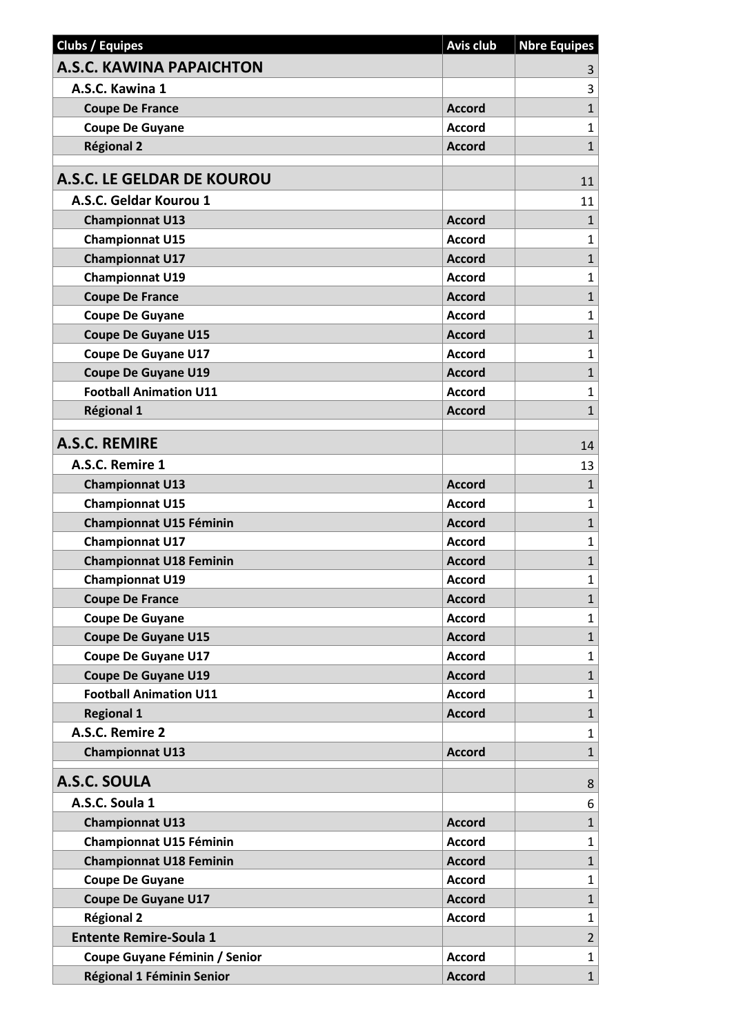| <b>Clubs / Equipes</b>          | <b>Avis club</b> | <b>Nbre Equipes</b> |
|---------------------------------|------------------|---------------------|
| <b>A.S.C. KAWINA PAPAICHTON</b> |                  | $\mathbf{3}$        |
| A.S.C. Kawina 1                 |                  | 3                   |
| <b>Coupe De France</b>          | <b>Accord</b>    | $\mathbf{1}$        |
| <b>Coupe De Guyane</b>          | <b>Accord</b>    | $\mathbf{1}$        |
| <b>Régional 2</b>               | <b>Accord</b>    | $\mathbf{1}$        |
|                                 |                  |                     |
| A.S.C. LE GELDAR DE KOUROU      |                  | 11                  |
| A.S.C. Geldar Kourou 1          |                  | 11                  |
| <b>Championnat U13</b>          | <b>Accord</b>    | $\mathbf{1}$        |
| <b>Championnat U15</b>          | <b>Accord</b>    | 1                   |
| <b>Championnat U17</b>          | <b>Accord</b>    | $\mathbf{1}$        |
| <b>Championnat U19</b>          | <b>Accord</b>    | $\mathbf{1}$        |
| <b>Coupe De France</b>          | <b>Accord</b>    | $\mathbf{1}$        |
| <b>Coupe De Guyane</b>          | <b>Accord</b>    | 1                   |
| <b>Coupe De Guyane U15</b>      | <b>Accord</b>    | $\mathbf{1}$        |
| <b>Coupe De Guyane U17</b>      | <b>Accord</b>    | $\mathbf{1}$        |
| <b>Coupe De Guyane U19</b>      | <b>Accord</b>    | $\mathbf{1}$        |
| <b>Football Animation U11</b>   | <b>Accord</b>    | $\mathbf{1}$        |
| <b>Régional 1</b>               | <b>Accord</b>    | $\mathbf{1}$        |
| <b>A.S.C. REMIRE</b>            |                  | 14                  |
| A.S.C. Remire 1                 |                  | 13                  |
| <b>Championnat U13</b>          | <b>Accord</b>    | $\mathbf{1}$        |
| <b>Championnat U15</b>          | <b>Accord</b>    | $\mathbf{1}$        |
| <b>Championnat U15 Féminin</b>  | <b>Accord</b>    | $\mathbf{1}$        |
| <b>Championnat U17</b>          | <b>Accord</b>    | $\mathbf{1}$        |
| <b>Championnat U18 Feminin</b>  | <b>Accord</b>    | $\mathbf{1}$        |
| <b>Championnat U19</b>          | <b>Accord</b>    | $\mathbf{1}$        |
| <b>Coupe De France</b>          | <b>Accord</b>    | 1                   |
| <b>Coupe De Guyane</b>          | <b>Accord</b>    | $\mathbf{1}$        |
| <b>Coupe De Guyane U15</b>      | <b>Accord</b>    | $\mathbf{1}$        |
| <b>Coupe De Guyane U17</b>      | <b>Accord</b>    | $\mathbf{1}$        |
| <b>Coupe De Guyane U19</b>      | <b>Accord</b>    | 1                   |
| <b>Football Animation U11</b>   | <b>Accord</b>    | $\mathbf{1}$        |
| <b>Regional 1</b>               | <b>Accord</b>    | 1                   |
| A.S.C. Remire 2                 |                  | $\mathbf{1}$        |
| <b>Championnat U13</b>          | <b>Accord</b>    | $\mathbf{1}$        |
| A.S.C. SOULA                    |                  | 8                   |
| A.S.C. Soula 1                  |                  | 6                   |
| <b>Championnat U13</b>          | <b>Accord</b>    | 1                   |
| <b>Championnat U15 Féminin</b>  | <b>Accord</b>    | $\mathbf{1}$        |
| <b>Championnat U18 Feminin</b>  | <b>Accord</b>    | 1                   |
| <b>Coupe De Guyane</b>          | <b>Accord</b>    | $\mathbf{1}$        |
| <b>Coupe De Guyane U17</b>      | <b>Accord</b>    | $\mathbf{1}$        |
| <b>Régional 2</b>               | <b>Accord</b>    | $\mathbf{1}$        |
| <b>Entente Remire-Soula 1</b>   |                  | $2^{\circ}$         |
| Coupe Guyane Féminin / Senior   | <b>Accord</b>    | $\mathbf{1}$        |
| Régional 1 Féminin Senior       | <b>Accord</b>    | $1\vert$            |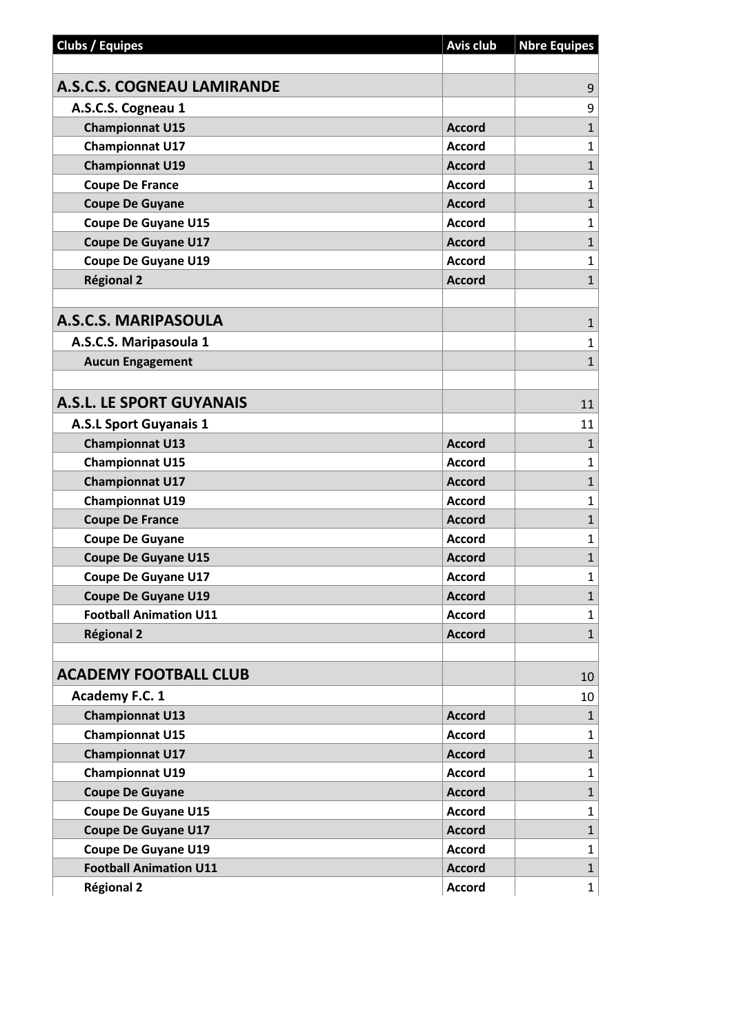| <b>Clubs / Equipes</b>            | <b>Avis club</b> | <b>Nbre Equipes</b> |
|-----------------------------------|------------------|---------------------|
|                                   |                  |                     |
| <b>A.S.C.S. COGNEAU LAMIRANDE</b> |                  | 9                   |
| A.S.C.S. Cogneau 1                |                  | 9                   |
| <b>Championnat U15</b>            | <b>Accord</b>    | $\mathbf{1}$        |
| <b>Championnat U17</b>            | <b>Accord</b>    | $\mathbf{1}$        |
| <b>Championnat U19</b>            | <b>Accord</b>    | $\mathbf{1}$        |
| <b>Coupe De France</b>            | <b>Accord</b>    | $\mathbf{1}$        |
| <b>Coupe De Guyane</b>            | <b>Accord</b>    | $\mathbf{1}$        |
| <b>Coupe De Guyane U15</b>        | <b>Accord</b>    | $\mathbf{1}$        |
| <b>Coupe De Guyane U17</b>        | <b>Accord</b>    | $\mathbf{1}$        |
| <b>Coupe De Guyane U19</b>        | <b>Accord</b>    | $\mathbf{1}$        |
| <b>Régional 2</b>                 | <b>Accord</b>    | $\mathbf{1}$        |
|                                   |                  |                     |
| <b>A.S.C.S. MARIPASOULA</b>       |                  | $\mathbf{1}$        |
| A.S.C.S. Maripasoula 1            |                  | $\mathbf{1}$        |
| <b>Aucun Engagement</b>           |                  | $\mathbf{1}$        |
|                                   |                  |                     |
| <b>A.S.L. LE SPORT GUYANAIS</b>   |                  | 11                  |
| <b>A.S.L Sport Guyanais 1</b>     |                  | 11                  |
| <b>Championnat U13</b>            | <b>Accord</b>    | $\mathbf{1}$        |
| <b>Championnat U15</b>            | <b>Accord</b>    | $\mathbf{1}$        |
| <b>Championnat U17</b>            | <b>Accord</b>    | $\mathbf{1}$        |
| <b>Championnat U19</b>            | <b>Accord</b>    | $\mathbf{1}$        |
| <b>Coupe De France</b>            | <b>Accord</b>    | $\mathbf{1}$        |
| <b>Coupe De Guyane</b>            | <b>Accord</b>    | $\mathbf{1}$        |
| <b>Coupe De Guyane U15</b>        | <b>Accord</b>    | $\mathbf{1}$        |
| <b>Coupe De Guyane U17</b>        | <b>Accord</b>    | $\mathbf{1}$        |
| <b>Coupe De Guyane U19</b>        | <b>Accord</b>    | 1                   |
| <b>Football Animation U11</b>     | <b>Accord</b>    | $\mathbf{1}$        |
| <b>Régional 2</b>                 | <b>Accord</b>    | $\mathbf{1}$        |
|                                   |                  |                     |
| <b>ACADEMY FOOTBALL CLUB</b>      |                  | 10                  |
| Academy F.C. 1                    |                  | 10                  |
| <b>Championnat U13</b>            | <b>Accord</b>    | $\mathbf{1}$        |
| <b>Championnat U15</b>            | <b>Accord</b>    | $\mathbf{1}$        |
| <b>Championnat U17</b>            | <b>Accord</b>    | $\mathbf{1}$        |
| <b>Championnat U19</b>            | <b>Accord</b>    | $\mathbf{1}$        |
| <b>Coupe De Guyane</b>            | <b>Accord</b>    | $\mathbf{1}$        |
| <b>Coupe De Guyane U15</b>        | <b>Accord</b>    | $\mathbf{1}$        |
| <b>Coupe De Guyane U17</b>        | <b>Accord</b>    | $\mathbf{1}$        |
| <b>Coupe De Guyane U19</b>        | <b>Accord</b>    | $\mathbf{1}$        |
| <b>Football Animation U11</b>     | <b>Accord</b>    | $\mathbf{1}$        |
| <b>Régional 2</b>                 | <b>Accord</b>    | $\mathbf{1}$        |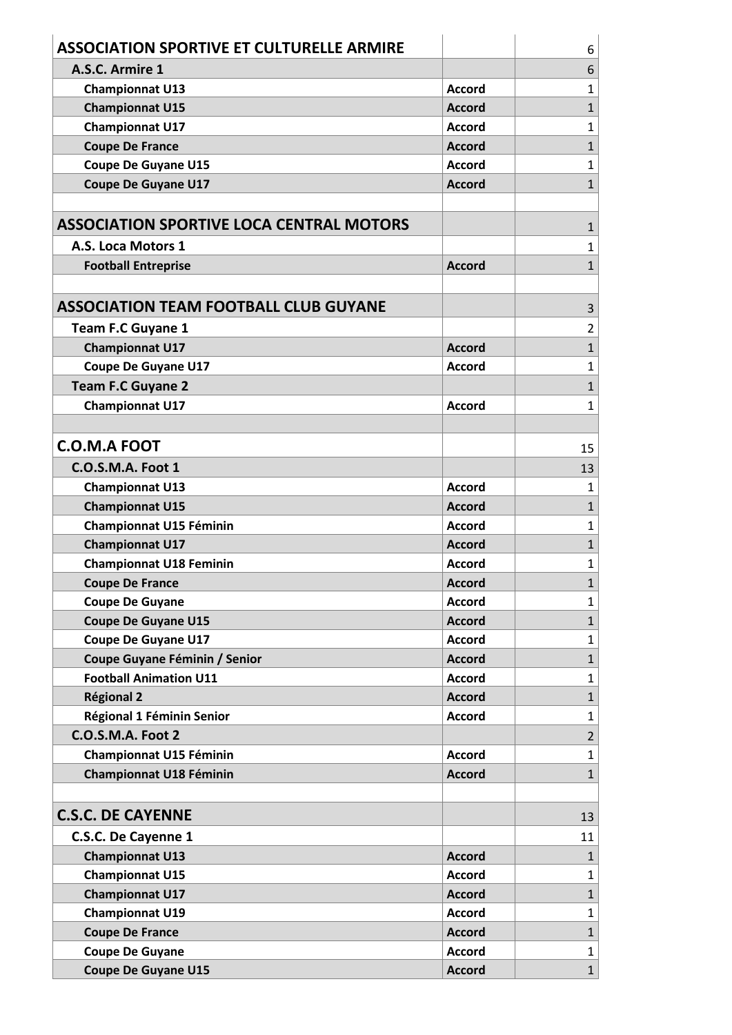| A.S.C. Armire 1<br>6<br>$\mathbf{1}$<br><b>Championnat U13</b><br><b>Accord</b><br>$\mathbf{1}$<br><b>Championnat U15</b><br><b>Accord</b><br>$\mathbf{1}$<br><b>Championnat U17</b><br><b>Accord</b><br>$\mathbf{1}$<br><b>Coupe De France</b><br><b>Accord</b><br><b>Coupe De Guyane U15</b><br><b>Accord</b><br>$\mathbf{1}$<br>$\mathbf{1}$<br><b>Coupe De Guyane U17</b><br><b>Accord</b><br><b>ASSOCIATION SPORTIVE LOCA CENTRAL MOTORS</b><br>$\mathbf{1}$<br>A.S. Loca Motors 1<br>1<br>$\mathbf{1}$<br><b>Accord</b><br><b>Football Entreprise</b><br><b>ASSOCIATION TEAM FOOTBALL CLUB GUYANE</b><br>3<br><b>Team F.C Guyane 1</b><br>$\overline{2}$<br>$\mathbf{1}$<br><b>Championnat U17</b><br><b>Accord</b><br>$\mathbf{1}$<br><b>Coupe De Guyane U17</b><br><b>Accord</b><br><b>Team F.C Guyane 2</b><br>$\mathbf{1}$<br><b>Championnat U17</b><br>$\mathbf{1}$<br><b>Accord</b><br><b>C.O.M.A FOOT</b><br>15<br><b>C.O.S.M.A. Foot 1</b><br>13<br>$\mathbf{1}$<br><b>Championnat U13</b><br><b>Accord</b><br><b>Championnat U15</b><br>$\mathbf{1}$<br><b>Accord</b><br><b>Championnat U15 Féminin</b><br>$\mathbf{1}$<br><b>Accord</b><br><b>Championnat U17</b><br>$\mathbf{1}$<br><b>Accord</b><br><b>Championnat U18 Feminin</b><br>$\mathbf{1}$<br><b>Accord</b><br>$\mathbf{1}$<br><b>Coupe De France</b><br><b>Accord</b><br>$\mathbf{1}$<br><b>Coupe De Guyane</b><br><b>Accord</b><br>$\mathbf{1}$<br><b>Coupe De Guyane U15</b><br><b>Accord</b><br><b>Coupe De Guyane U17</b><br><b>Accord</b><br>$\mathbf{1}$<br>Coupe Guyane Féminin / Senior<br>$\mathbf{1}$<br><b>Accord</b><br><b>Football Animation U11</b><br>$\mathbf{1}$<br><b>Accord</b><br>$\mathbf{1}$<br><b>Régional 2</b><br><b>Accord</b><br>$\mathbf{1}$<br>Régional 1 Féminin Senior<br><b>Accord</b><br>C.O.S.M.A. Foot 2<br>$\overline{2}$<br><b>Championnat U15 Féminin</b><br>$\mathbf{1}$<br><b>Accord</b><br><b>Championnat U18 Féminin</b><br>$\mathbf{1}$<br><b>Accord</b><br><b>C.S.C. DE CAYENNE</b><br>13<br>C.S.C. De Cayenne 1<br>11<br><b>Championnat U13</b><br>$\mathbf{1}$<br><b>Accord</b><br><b>Championnat U15</b><br>$\mathbf{1}$<br><b>Accord</b><br>$\mathbf{1}$<br><b>Championnat U17</b><br><b>Accord</b><br><b>Championnat U19</b><br><b>Accord</b><br>$\mathbf{1}$<br>$\mathbf{1}$<br><b>Coupe De France</b><br><b>Accord</b><br><b>Coupe De Guyane</b><br><b>Accord</b><br>$\mathbf{1}$<br>$\mathbf{1}$<br><b>Coupe De Guyane U15</b><br><b>Accord</b> | <b>ASSOCIATION SPORTIVE ET CULTURELLE ARMIRE</b> | 6 |
|--------------------------------------------------------------------------------------------------------------------------------------------------------------------------------------------------------------------------------------------------------------------------------------------------------------------------------------------------------------------------------------------------------------------------------------------------------------------------------------------------------------------------------------------------------------------------------------------------------------------------------------------------------------------------------------------------------------------------------------------------------------------------------------------------------------------------------------------------------------------------------------------------------------------------------------------------------------------------------------------------------------------------------------------------------------------------------------------------------------------------------------------------------------------------------------------------------------------------------------------------------------------------------------------------------------------------------------------------------------------------------------------------------------------------------------------------------------------------------------------------------------------------------------------------------------------------------------------------------------------------------------------------------------------------------------------------------------------------------------------------------------------------------------------------------------------------------------------------------------------------------------------------------------------------------------------------------------------------------------------------------------------------------------------------------------------------------------------------------------------------------------------------------------------------------------------------------------------------------------------------------------------------------------------------------------------------------------------------------------------------------------------------------------------------------------------------------------------------------|--------------------------------------------------|---|
|                                                                                                                                                                                                                                                                                                                                                                                                                                                                                                                                                                                                                                                                                                                                                                                                                                                                                                                                                                                                                                                                                                                                                                                                                                                                                                                                                                                                                                                                                                                                                                                                                                                                                                                                                                                                                                                                                                                                                                                                                                                                                                                                                                                                                                                                                                                                                                                                                                                                                |                                                  |   |
|                                                                                                                                                                                                                                                                                                                                                                                                                                                                                                                                                                                                                                                                                                                                                                                                                                                                                                                                                                                                                                                                                                                                                                                                                                                                                                                                                                                                                                                                                                                                                                                                                                                                                                                                                                                                                                                                                                                                                                                                                                                                                                                                                                                                                                                                                                                                                                                                                                                                                |                                                  |   |
|                                                                                                                                                                                                                                                                                                                                                                                                                                                                                                                                                                                                                                                                                                                                                                                                                                                                                                                                                                                                                                                                                                                                                                                                                                                                                                                                                                                                                                                                                                                                                                                                                                                                                                                                                                                                                                                                                                                                                                                                                                                                                                                                                                                                                                                                                                                                                                                                                                                                                |                                                  |   |
|                                                                                                                                                                                                                                                                                                                                                                                                                                                                                                                                                                                                                                                                                                                                                                                                                                                                                                                                                                                                                                                                                                                                                                                                                                                                                                                                                                                                                                                                                                                                                                                                                                                                                                                                                                                                                                                                                                                                                                                                                                                                                                                                                                                                                                                                                                                                                                                                                                                                                |                                                  |   |
|                                                                                                                                                                                                                                                                                                                                                                                                                                                                                                                                                                                                                                                                                                                                                                                                                                                                                                                                                                                                                                                                                                                                                                                                                                                                                                                                                                                                                                                                                                                                                                                                                                                                                                                                                                                                                                                                                                                                                                                                                                                                                                                                                                                                                                                                                                                                                                                                                                                                                |                                                  |   |
|                                                                                                                                                                                                                                                                                                                                                                                                                                                                                                                                                                                                                                                                                                                                                                                                                                                                                                                                                                                                                                                                                                                                                                                                                                                                                                                                                                                                                                                                                                                                                                                                                                                                                                                                                                                                                                                                                                                                                                                                                                                                                                                                                                                                                                                                                                                                                                                                                                                                                |                                                  |   |
|                                                                                                                                                                                                                                                                                                                                                                                                                                                                                                                                                                                                                                                                                                                                                                                                                                                                                                                                                                                                                                                                                                                                                                                                                                                                                                                                                                                                                                                                                                                                                                                                                                                                                                                                                                                                                                                                                                                                                                                                                                                                                                                                                                                                                                                                                                                                                                                                                                                                                |                                                  |   |
|                                                                                                                                                                                                                                                                                                                                                                                                                                                                                                                                                                                                                                                                                                                                                                                                                                                                                                                                                                                                                                                                                                                                                                                                                                                                                                                                                                                                                                                                                                                                                                                                                                                                                                                                                                                                                                                                                                                                                                                                                                                                                                                                                                                                                                                                                                                                                                                                                                                                                |                                                  |   |
|                                                                                                                                                                                                                                                                                                                                                                                                                                                                                                                                                                                                                                                                                                                                                                                                                                                                                                                                                                                                                                                                                                                                                                                                                                                                                                                                                                                                                                                                                                                                                                                                                                                                                                                                                                                                                                                                                                                                                                                                                                                                                                                                                                                                                                                                                                                                                                                                                                                                                |                                                  |   |
|                                                                                                                                                                                                                                                                                                                                                                                                                                                                                                                                                                                                                                                                                                                                                                                                                                                                                                                                                                                                                                                                                                                                                                                                                                                                                                                                                                                                                                                                                                                                                                                                                                                                                                                                                                                                                                                                                                                                                                                                                                                                                                                                                                                                                                                                                                                                                                                                                                                                                |                                                  |   |
|                                                                                                                                                                                                                                                                                                                                                                                                                                                                                                                                                                                                                                                                                                                                                                                                                                                                                                                                                                                                                                                                                                                                                                                                                                                                                                                                                                                                                                                                                                                                                                                                                                                                                                                                                                                                                                                                                                                                                                                                                                                                                                                                                                                                                                                                                                                                                                                                                                                                                |                                                  |   |
|                                                                                                                                                                                                                                                                                                                                                                                                                                                                                                                                                                                                                                                                                                                                                                                                                                                                                                                                                                                                                                                                                                                                                                                                                                                                                                                                                                                                                                                                                                                                                                                                                                                                                                                                                                                                                                                                                                                                                                                                                                                                                                                                                                                                                                                                                                                                                                                                                                                                                |                                                  |   |
|                                                                                                                                                                                                                                                                                                                                                                                                                                                                                                                                                                                                                                                                                                                                                                                                                                                                                                                                                                                                                                                                                                                                                                                                                                                                                                                                                                                                                                                                                                                                                                                                                                                                                                                                                                                                                                                                                                                                                                                                                                                                                                                                                                                                                                                                                                                                                                                                                                                                                |                                                  |   |
|                                                                                                                                                                                                                                                                                                                                                                                                                                                                                                                                                                                                                                                                                                                                                                                                                                                                                                                                                                                                                                                                                                                                                                                                                                                                                                                                                                                                                                                                                                                                                                                                                                                                                                                                                                                                                                                                                                                                                                                                                                                                                                                                                                                                                                                                                                                                                                                                                                                                                |                                                  |   |
|                                                                                                                                                                                                                                                                                                                                                                                                                                                                                                                                                                                                                                                                                                                                                                                                                                                                                                                                                                                                                                                                                                                                                                                                                                                                                                                                                                                                                                                                                                                                                                                                                                                                                                                                                                                                                                                                                                                                                                                                                                                                                                                                                                                                                                                                                                                                                                                                                                                                                |                                                  |   |
|                                                                                                                                                                                                                                                                                                                                                                                                                                                                                                                                                                                                                                                                                                                                                                                                                                                                                                                                                                                                                                                                                                                                                                                                                                                                                                                                                                                                                                                                                                                                                                                                                                                                                                                                                                                                                                                                                                                                                                                                                                                                                                                                                                                                                                                                                                                                                                                                                                                                                |                                                  |   |
|                                                                                                                                                                                                                                                                                                                                                                                                                                                                                                                                                                                                                                                                                                                                                                                                                                                                                                                                                                                                                                                                                                                                                                                                                                                                                                                                                                                                                                                                                                                                                                                                                                                                                                                                                                                                                                                                                                                                                                                                                                                                                                                                                                                                                                                                                                                                                                                                                                                                                |                                                  |   |
|                                                                                                                                                                                                                                                                                                                                                                                                                                                                                                                                                                                                                                                                                                                                                                                                                                                                                                                                                                                                                                                                                                                                                                                                                                                                                                                                                                                                                                                                                                                                                                                                                                                                                                                                                                                                                                                                                                                                                                                                                                                                                                                                                                                                                                                                                                                                                                                                                                                                                |                                                  |   |
|                                                                                                                                                                                                                                                                                                                                                                                                                                                                                                                                                                                                                                                                                                                                                                                                                                                                                                                                                                                                                                                                                                                                                                                                                                                                                                                                                                                                                                                                                                                                                                                                                                                                                                                                                                                                                                                                                                                                                                                                                                                                                                                                                                                                                                                                                                                                                                                                                                                                                |                                                  |   |
|                                                                                                                                                                                                                                                                                                                                                                                                                                                                                                                                                                                                                                                                                                                                                                                                                                                                                                                                                                                                                                                                                                                                                                                                                                                                                                                                                                                                                                                                                                                                                                                                                                                                                                                                                                                                                                                                                                                                                                                                                                                                                                                                                                                                                                                                                                                                                                                                                                                                                |                                                  |   |
|                                                                                                                                                                                                                                                                                                                                                                                                                                                                                                                                                                                                                                                                                                                                                                                                                                                                                                                                                                                                                                                                                                                                                                                                                                                                                                                                                                                                                                                                                                                                                                                                                                                                                                                                                                                                                                                                                                                                                                                                                                                                                                                                                                                                                                                                                                                                                                                                                                                                                |                                                  |   |
|                                                                                                                                                                                                                                                                                                                                                                                                                                                                                                                                                                                                                                                                                                                                                                                                                                                                                                                                                                                                                                                                                                                                                                                                                                                                                                                                                                                                                                                                                                                                                                                                                                                                                                                                                                                                                                                                                                                                                                                                                                                                                                                                                                                                                                                                                                                                                                                                                                                                                |                                                  |   |
|                                                                                                                                                                                                                                                                                                                                                                                                                                                                                                                                                                                                                                                                                                                                                                                                                                                                                                                                                                                                                                                                                                                                                                                                                                                                                                                                                                                                                                                                                                                                                                                                                                                                                                                                                                                                                                                                                                                                                                                                                                                                                                                                                                                                                                                                                                                                                                                                                                                                                |                                                  |   |
|                                                                                                                                                                                                                                                                                                                                                                                                                                                                                                                                                                                                                                                                                                                                                                                                                                                                                                                                                                                                                                                                                                                                                                                                                                                                                                                                                                                                                                                                                                                                                                                                                                                                                                                                                                                                                                                                                                                                                                                                                                                                                                                                                                                                                                                                                                                                                                                                                                                                                |                                                  |   |
|                                                                                                                                                                                                                                                                                                                                                                                                                                                                                                                                                                                                                                                                                                                                                                                                                                                                                                                                                                                                                                                                                                                                                                                                                                                                                                                                                                                                                                                                                                                                                                                                                                                                                                                                                                                                                                                                                                                                                                                                                                                                                                                                                                                                                                                                                                                                                                                                                                                                                |                                                  |   |
|                                                                                                                                                                                                                                                                                                                                                                                                                                                                                                                                                                                                                                                                                                                                                                                                                                                                                                                                                                                                                                                                                                                                                                                                                                                                                                                                                                                                                                                                                                                                                                                                                                                                                                                                                                                                                                                                                                                                                                                                                                                                                                                                                                                                                                                                                                                                                                                                                                                                                |                                                  |   |
|                                                                                                                                                                                                                                                                                                                                                                                                                                                                                                                                                                                                                                                                                                                                                                                                                                                                                                                                                                                                                                                                                                                                                                                                                                                                                                                                                                                                                                                                                                                                                                                                                                                                                                                                                                                                                                                                                                                                                                                                                                                                                                                                                                                                                                                                                                                                                                                                                                                                                |                                                  |   |
|                                                                                                                                                                                                                                                                                                                                                                                                                                                                                                                                                                                                                                                                                                                                                                                                                                                                                                                                                                                                                                                                                                                                                                                                                                                                                                                                                                                                                                                                                                                                                                                                                                                                                                                                                                                                                                                                                                                                                                                                                                                                                                                                                                                                                                                                                                                                                                                                                                                                                |                                                  |   |
|                                                                                                                                                                                                                                                                                                                                                                                                                                                                                                                                                                                                                                                                                                                                                                                                                                                                                                                                                                                                                                                                                                                                                                                                                                                                                                                                                                                                                                                                                                                                                                                                                                                                                                                                                                                                                                                                                                                                                                                                                                                                                                                                                                                                                                                                                                                                                                                                                                                                                |                                                  |   |
|                                                                                                                                                                                                                                                                                                                                                                                                                                                                                                                                                                                                                                                                                                                                                                                                                                                                                                                                                                                                                                                                                                                                                                                                                                                                                                                                                                                                                                                                                                                                                                                                                                                                                                                                                                                                                                                                                                                                                                                                                                                                                                                                                                                                                                                                                                                                                                                                                                                                                |                                                  |   |
|                                                                                                                                                                                                                                                                                                                                                                                                                                                                                                                                                                                                                                                                                                                                                                                                                                                                                                                                                                                                                                                                                                                                                                                                                                                                                                                                                                                                                                                                                                                                                                                                                                                                                                                                                                                                                                                                                                                                                                                                                                                                                                                                                                                                                                                                                                                                                                                                                                                                                |                                                  |   |
|                                                                                                                                                                                                                                                                                                                                                                                                                                                                                                                                                                                                                                                                                                                                                                                                                                                                                                                                                                                                                                                                                                                                                                                                                                                                                                                                                                                                                                                                                                                                                                                                                                                                                                                                                                                                                                                                                                                                                                                                                                                                                                                                                                                                                                                                                                                                                                                                                                                                                |                                                  |   |
|                                                                                                                                                                                                                                                                                                                                                                                                                                                                                                                                                                                                                                                                                                                                                                                                                                                                                                                                                                                                                                                                                                                                                                                                                                                                                                                                                                                                                                                                                                                                                                                                                                                                                                                                                                                                                                                                                                                                                                                                                                                                                                                                                                                                                                                                                                                                                                                                                                                                                |                                                  |   |
|                                                                                                                                                                                                                                                                                                                                                                                                                                                                                                                                                                                                                                                                                                                                                                                                                                                                                                                                                                                                                                                                                                                                                                                                                                                                                                                                                                                                                                                                                                                                                                                                                                                                                                                                                                                                                                                                                                                                                                                                                                                                                                                                                                                                                                                                                                                                                                                                                                                                                |                                                  |   |
|                                                                                                                                                                                                                                                                                                                                                                                                                                                                                                                                                                                                                                                                                                                                                                                                                                                                                                                                                                                                                                                                                                                                                                                                                                                                                                                                                                                                                                                                                                                                                                                                                                                                                                                                                                                                                                                                                                                                                                                                                                                                                                                                                                                                                                                                                                                                                                                                                                                                                |                                                  |   |
|                                                                                                                                                                                                                                                                                                                                                                                                                                                                                                                                                                                                                                                                                                                                                                                                                                                                                                                                                                                                                                                                                                                                                                                                                                                                                                                                                                                                                                                                                                                                                                                                                                                                                                                                                                                                                                                                                                                                                                                                                                                                                                                                                                                                                                                                                                                                                                                                                                                                                |                                                  |   |
|                                                                                                                                                                                                                                                                                                                                                                                                                                                                                                                                                                                                                                                                                                                                                                                                                                                                                                                                                                                                                                                                                                                                                                                                                                                                                                                                                                                                                                                                                                                                                                                                                                                                                                                                                                                                                                                                                                                                                                                                                                                                                                                                                                                                                                                                                                                                                                                                                                                                                |                                                  |   |
|                                                                                                                                                                                                                                                                                                                                                                                                                                                                                                                                                                                                                                                                                                                                                                                                                                                                                                                                                                                                                                                                                                                                                                                                                                                                                                                                                                                                                                                                                                                                                                                                                                                                                                                                                                                                                                                                                                                                                                                                                                                                                                                                                                                                                                                                                                                                                                                                                                                                                |                                                  |   |
|                                                                                                                                                                                                                                                                                                                                                                                                                                                                                                                                                                                                                                                                                                                                                                                                                                                                                                                                                                                                                                                                                                                                                                                                                                                                                                                                                                                                                                                                                                                                                                                                                                                                                                                                                                                                                                                                                                                                                                                                                                                                                                                                                                                                                                                                                                                                                                                                                                                                                |                                                  |   |
|                                                                                                                                                                                                                                                                                                                                                                                                                                                                                                                                                                                                                                                                                                                                                                                                                                                                                                                                                                                                                                                                                                                                                                                                                                                                                                                                                                                                                                                                                                                                                                                                                                                                                                                                                                                                                                                                                                                                                                                                                                                                                                                                                                                                                                                                                                                                                                                                                                                                                |                                                  |   |
|                                                                                                                                                                                                                                                                                                                                                                                                                                                                                                                                                                                                                                                                                                                                                                                                                                                                                                                                                                                                                                                                                                                                                                                                                                                                                                                                                                                                                                                                                                                                                                                                                                                                                                                                                                                                                                                                                                                                                                                                                                                                                                                                                                                                                                                                                                                                                                                                                                                                                |                                                  |   |
|                                                                                                                                                                                                                                                                                                                                                                                                                                                                                                                                                                                                                                                                                                                                                                                                                                                                                                                                                                                                                                                                                                                                                                                                                                                                                                                                                                                                                                                                                                                                                                                                                                                                                                                                                                                                                                                                                                                                                                                                                                                                                                                                                                                                                                                                                                                                                                                                                                                                                |                                                  |   |
|                                                                                                                                                                                                                                                                                                                                                                                                                                                                                                                                                                                                                                                                                                                                                                                                                                                                                                                                                                                                                                                                                                                                                                                                                                                                                                                                                                                                                                                                                                                                                                                                                                                                                                                                                                                                                                                                                                                                                                                                                                                                                                                                                                                                                                                                                                                                                                                                                                                                                |                                                  |   |
|                                                                                                                                                                                                                                                                                                                                                                                                                                                                                                                                                                                                                                                                                                                                                                                                                                                                                                                                                                                                                                                                                                                                                                                                                                                                                                                                                                                                                                                                                                                                                                                                                                                                                                                                                                                                                                                                                                                                                                                                                                                                                                                                                                                                                                                                                                                                                                                                                                                                                |                                                  |   |
|                                                                                                                                                                                                                                                                                                                                                                                                                                                                                                                                                                                                                                                                                                                                                                                                                                                                                                                                                                                                                                                                                                                                                                                                                                                                                                                                                                                                                                                                                                                                                                                                                                                                                                                                                                                                                                                                                                                                                                                                                                                                                                                                                                                                                                                                                                                                                                                                                                                                                |                                                  |   |
|                                                                                                                                                                                                                                                                                                                                                                                                                                                                                                                                                                                                                                                                                                                                                                                                                                                                                                                                                                                                                                                                                                                                                                                                                                                                                                                                                                                                                                                                                                                                                                                                                                                                                                                                                                                                                                                                                                                                                                                                                                                                                                                                                                                                                                                                                                                                                                                                                                                                                |                                                  |   |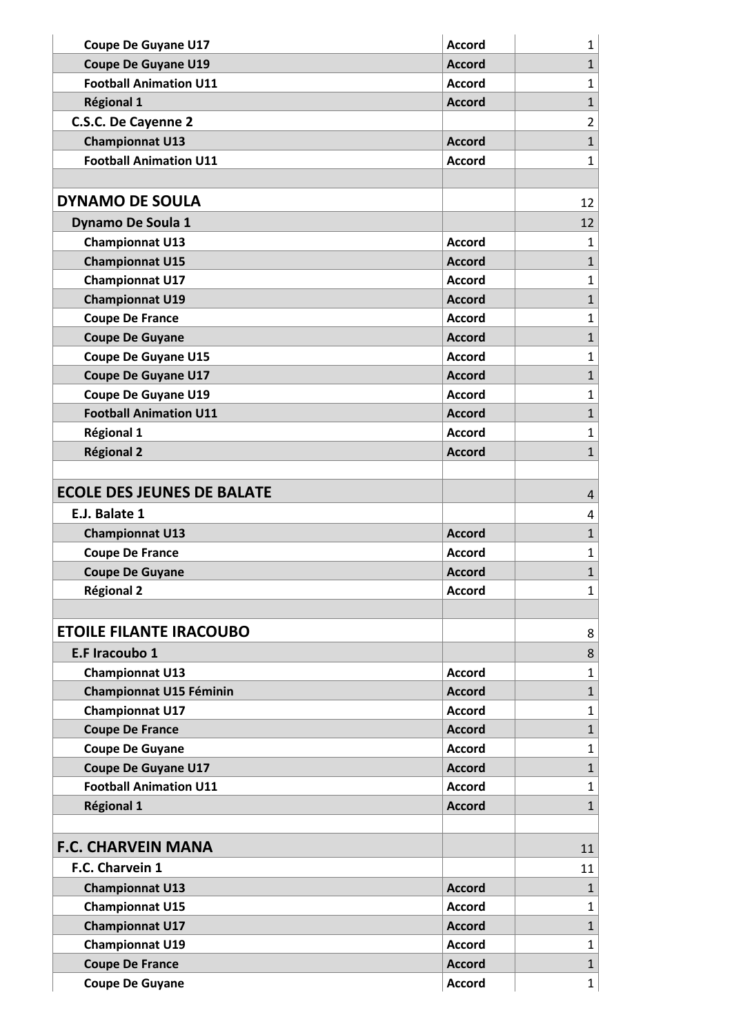| <b>Coupe De Guyane U17</b>        | <b>Accord</b> | $\mathbf{1}$   |
|-----------------------------------|---------------|----------------|
| <b>Coupe De Guyane U19</b>        | <b>Accord</b> | $\mathbf{1}$   |
| <b>Football Animation U11</b>     | <b>Accord</b> | $\mathbf{1}$   |
| <b>Régional 1</b>                 | <b>Accord</b> | $\mathbf{1}$   |
| C.S.C. De Cayenne 2               |               | $\overline{2}$ |
| <b>Championnat U13</b>            | <b>Accord</b> | $\mathbf{1}$   |
| <b>Football Animation U11</b>     | <b>Accord</b> | $\mathbf{1}$   |
|                                   |               |                |
| <b>DYNAMO DE SOULA</b>            |               | 12             |
| <b>Dynamo De Soula 1</b>          |               | 12             |
| <b>Championnat U13</b>            | <b>Accord</b> | $\mathbf{1}$   |
| <b>Championnat U15</b>            | <b>Accord</b> | $\mathbf{1}$   |
| <b>Championnat U17</b>            | <b>Accord</b> | $\mathbf{1}$   |
| <b>Championnat U19</b>            | <b>Accord</b> | $\mathbf{1}$   |
| <b>Coupe De France</b>            | <b>Accord</b> | $\mathbf{1}$   |
| <b>Coupe De Guyane</b>            | <b>Accord</b> | $\mathbf{1}$   |
| <b>Coupe De Guyane U15</b>        | <b>Accord</b> | $\mathbf{1}$   |
| <b>Coupe De Guyane U17</b>        | <b>Accord</b> | $\mathbf{1}$   |
| <b>Coupe De Guyane U19</b>        | <b>Accord</b> | $\mathbf{1}$   |
| <b>Football Animation U11</b>     | <b>Accord</b> | $\mathbf{1}$   |
| <b>Régional 1</b>                 | <b>Accord</b> | $\mathbf{1}$   |
| <b>Régional 2</b>                 | <b>Accord</b> | $\mathbf{1}$   |
|                                   |               |                |
| <b>ECOLE DES JEUNES DE BALATE</b> |               | 4              |
| E.J. Balate 1                     |               | 4              |
| <b>Championnat U13</b>            | <b>Accord</b> | $\mathbf{1}$   |
| <b>Coupe De France</b>            | <b>Accord</b> | $\mathbf{1}$   |
| <b>Coupe De Guyane</b>            | <b>Accord</b> | $\mathbf{1}$   |
| <b>Régional 2</b>                 | <b>Accord</b> | $\mathbf{1}$   |
|                                   |               |                |
| <b>ETOILE FILANTE IRACOUBO</b>    |               | 8              |
| E.F Iracoubo 1                    |               | 8              |
| <b>Championnat U13</b>            | <b>Accord</b> | $\mathbf{1}$   |
| <b>Championnat U15 Féminin</b>    | <b>Accord</b> | $\mathbf{1}$   |
| <b>Championnat U17</b>            | <b>Accord</b> | $\mathbf{1}$   |
| <b>Coupe De France</b>            | <b>Accord</b> | $\mathbf{1}$   |
| <b>Coupe De Guyane</b>            | <b>Accord</b> | $\mathbf{1}$   |
| <b>Coupe De Guyane U17</b>        | <b>Accord</b> | $\mathbf{1}$   |
| <b>Football Animation U11</b>     | <b>Accord</b> | $\mathbf{1}$   |
| <b>Régional 1</b>                 | <b>Accord</b> | $\mathbf{1}$   |
|                                   |               |                |
| <b>F.C. CHARVEIN MANA</b>         |               | 11             |
| F.C. Charvein 1                   |               | 11             |
| <b>Championnat U13</b>            | <b>Accord</b> | $\mathbf{1}$   |
| <b>Championnat U15</b>            | <b>Accord</b> | 1              |
| <b>Championnat U17</b>            | <b>Accord</b> | $\mathbf{1}$   |
| <b>Championnat U19</b>            | <b>Accord</b> | $\mathbf{1}$   |
| <b>Coupe De France</b>            | <b>Accord</b> | $\mathbf{1}$   |
| <b>Coupe De Guyane</b>            | <b>Accord</b> | $\mathbf{1}$   |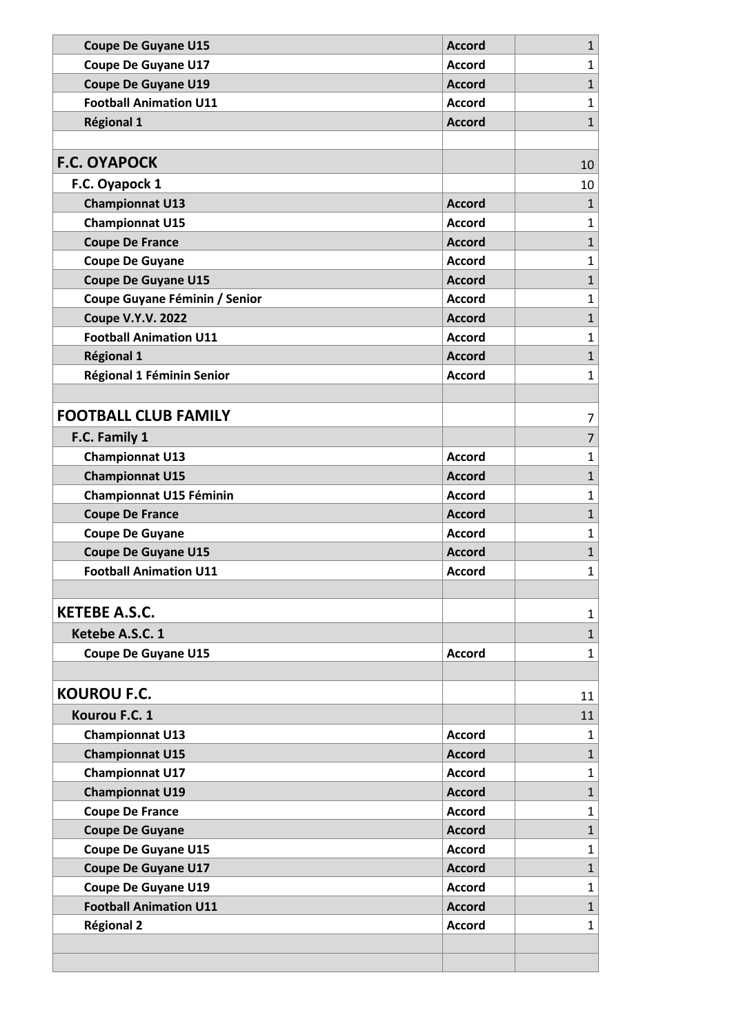| <b>Coupe De Guyane U15</b>     | <b>Accord</b> | $\mathbf{1}$   |
|--------------------------------|---------------|----------------|
| <b>Coupe De Guyane U17</b>     | <b>Accord</b> | $\mathbf{1}$   |
| <b>Coupe De Guyane U19</b>     | <b>Accord</b> | $\mathbf{1}$   |
| <b>Football Animation U11</b>  | Accord        | $\mathbf{1}$   |
| <b>Régional 1</b>              | <b>Accord</b> | $\mathbf{1}$   |
|                                |               |                |
| <b>F.C. OYAPOCK</b>            |               | 10             |
| F.C. Oyapock 1                 |               | 10             |
| <b>Championnat U13</b>         | <b>Accord</b> | $\mathbf{1}$   |
| <b>Championnat U15</b>         | <b>Accord</b> | $\mathbf{1}$   |
| <b>Coupe De France</b>         | <b>Accord</b> | $\mathbf{1}$   |
| <b>Coupe De Guyane</b>         | <b>Accord</b> | $\mathbf{1}$   |
| <b>Coupe De Guyane U15</b>     | <b>Accord</b> | $\mathbf{1}$   |
| Coupe Guyane Féminin / Senior  | <b>Accord</b> | $\mathbf{1}$   |
| <b>Coupe V.Y.V. 2022</b>       | <b>Accord</b> | $\mathbf{1}$   |
| <b>Football Animation U11</b>  | <b>Accord</b> | $\mathbf{1}$   |
| <b>Régional 1</b>              | <b>Accord</b> | $\mathbf{1}$   |
| Régional 1 Féminin Senior      | <b>Accord</b> | $\mathbf{1}$   |
|                                |               |                |
| <b>FOOTBALL CLUB FAMILY</b>    |               | 7              |
| F.C. Family 1                  |               | $\overline{7}$ |
| <b>Championnat U13</b>         | <b>Accord</b> | $\mathbf{1}$   |
| <b>Championnat U15</b>         | <b>Accord</b> | $\mathbf{1}$   |
| <b>Championnat U15 Féminin</b> | <b>Accord</b> | $\mathbf{1}$   |
| <b>Coupe De France</b>         | <b>Accord</b> | $\mathbf{1}$   |
| <b>Coupe De Guyane</b>         | <b>Accord</b> | $\mathbf{1}$   |
| <b>Coupe De Guyane U15</b>     | <b>Accord</b> | $\mathbf{1}$   |
| <b>Football Animation U11</b>  | <b>Accord</b> | $\mathbf{1}$   |
|                                |               |                |
| <b>KETEBE A.S.C.</b>           |               | 1              |
| Ketebe A.S.C. 1                |               | $\mathbf{1}$   |
| <b>Coupe De Guyane U15</b>     | <b>Accord</b> | $\mathbf{1}$   |
|                                |               |                |
| <b>KOUROU F.C.</b>             |               | 11             |
| Kourou F.C. 1                  |               | 11             |
| <b>Championnat U13</b>         | <b>Accord</b> | $\mathbf{1}$   |
| <b>Championnat U15</b>         | <b>Accord</b> | $\mathbf{1}$   |
| <b>Championnat U17</b>         | <b>Accord</b> | $\mathbf{1}$   |
| <b>Championnat U19</b>         | <b>Accord</b> | $\mathbf{1}$   |
| <b>Coupe De France</b>         | <b>Accord</b> | $\mathbf{1}$   |
| <b>Coupe De Guyane</b>         | <b>Accord</b> | $\mathbf{1}$   |
| <b>Coupe De Guyane U15</b>     | <b>Accord</b> | $\mathbf{1}$   |
| <b>Coupe De Guyane U17</b>     | <b>Accord</b> | $\mathbf 1$    |
| <b>Coupe De Guyane U19</b>     | <b>Accord</b> | $\mathbf{1}$   |
| <b>Football Animation U11</b>  | <b>Accord</b> | $\mathbf{1}$   |
| <b>Régional 2</b>              | <b>Accord</b> | $\mathbf{1}$   |
|                                |               |                |
|                                |               |                |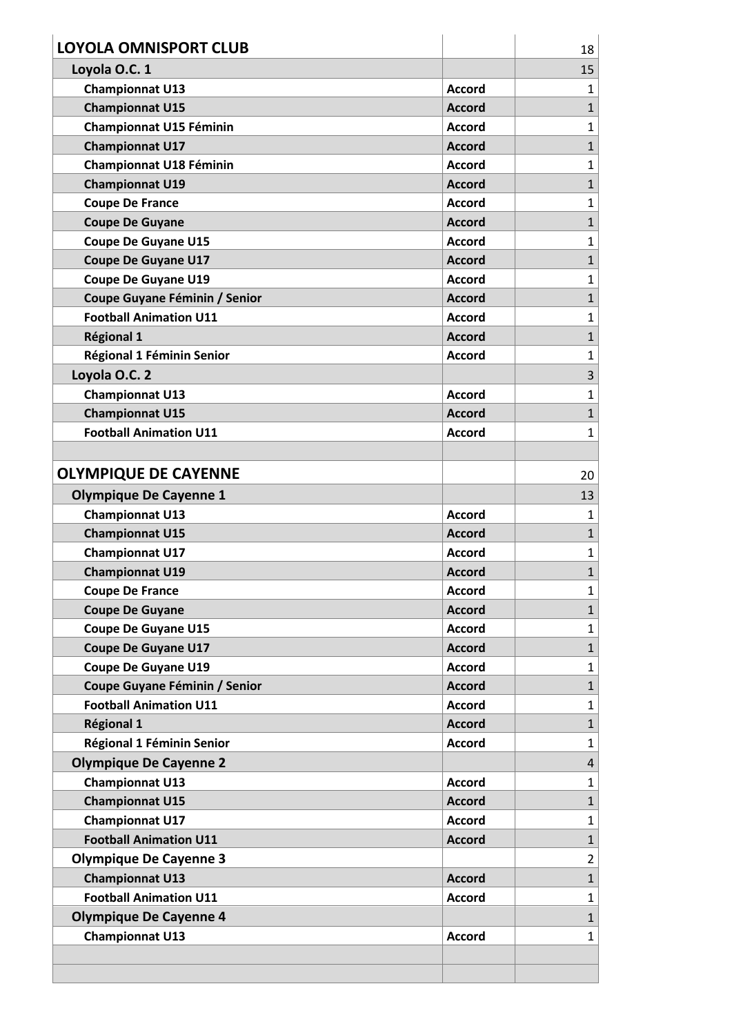| <b>LOYOLA OMNISPORT CLUB</b>   |               | 18                      |
|--------------------------------|---------------|-------------------------|
| Loyola O.C. 1                  |               | 15                      |
| <b>Championnat U13</b>         | <b>Accord</b> | $\mathbf{1}$            |
| <b>Championnat U15</b>         | <b>Accord</b> | $\mathbf{1}$            |
| <b>Championnat U15 Féminin</b> | <b>Accord</b> | $\mathbf{1}$            |
| <b>Championnat U17</b>         | <b>Accord</b> | $\mathbf{1}$            |
| <b>Championnat U18 Féminin</b> | <b>Accord</b> | $\mathbf{1}$            |
| <b>Championnat U19</b>         | <b>Accord</b> | $\mathbf{1}$            |
| <b>Coupe De France</b>         | <b>Accord</b> | $\mathbf{1}$            |
| <b>Coupe De Guyane</b>         | <b>Accord</b> | $\mathbf{1}$            |
| <b>Coupe De Guyane U15</b>     | <b>Accord</b> | $\mathbf{1}$            |
| <b>Coupe De Guyane U17</b>     | <b>Accord</b> | $\mathbf{1}$            |
| <b>Coupe De Guyane U19</b>     | <b>Accord</b> | $\mathbf{1}$            |
| Coupe Guyane Féminin / Senior  | <b>Accord</b> | $\mathbf{1}$            |
| <b>Football Animation U11</b>  | <b>Accord</b> | $\mathbf{1}$            |
| <b>Régional 1</b>              | <b>Accord</b> | $\mathbf{1}$            |
| Régional 1 Féminin Senior      | <b>Accord</b> | $\mathbf{1}$            |
| Loyola O.C. 2                  |               | 3                       |
| <b>Championnat U13</b>         | <b>Accord</b> | $\mathbf{1}$            |
| <b>Championnat U15</b>         | <b>Accord</b> | $\mathbf{1}$            |
| <b>Football Animation U11</b>  | <b>Accord</b> | 1                       |
|                                |               |                         |
| <b>OLYMPIQUE DE CAYENNE</b>    |               | 20                      |
| <b>Olympique De Cayenne 1</b>  |               | 13                      |
| <b>Championnat U13</b>         | <b>Accord</b> | $\mathbf{1}$            |
| <b>Championnat U15</b>         | <b>Accord</b> | $\mathbf{1}$            |
| <b>Championnat U17</b>         | <b>Accord</b> | $\mathbf{1}$            |
| <b>Championnat U19</b>         | <b>Accord</b> | $\mathbf{1}$            |
| <b>Coupe De France</b>         | <b>Accord</b> | $\mathbf{1}$            |
| <b>Coupe De Guyane</b>         | <b>Accord</b> | $\mathbf{1}$            |
| <b>Coupe De Guyane U15</b>     | <b>Accord</b> | $\mathbf{1}$            |
| <b>Coupe De Guyane U17</b>     | <b>Accord</b> | $\mathbf{1}$            |
| <b>Coupe De Guyane U19</b>     | <b>Accord</b> | $\mathbf{1}$            |
| Coupe Guyane Féminin / Senior  | <b>Accord</b> | $\mathbf{1}$            |
| <b>Football Animation U11</b>  | <b>Accord</b> | $\mathbf{1}$            |
| Régional 1                     | <b>Accord</b> | $\mathbf{1}$            |
| Régional 1 Féminin Senior      | <b>Accord</b> | $\mathbf{1}$            |
| <b>Olympique De Cayenne 2</b>  |               | $\overline{\mathbf{4}}$ |
| <b>Championnat U13</b>         | <b>Accord</b> | $\mathbf{1}$            |
| <b>Championnat U15</b>         | <b>Accord</b> | $\mathbf{1}$            |
| <b>Championnat U17</b>         | <b>Accord</b> | $\mathbf{1}$            |
| <b>Football Animation U11</b>  | <b>Accord</b> | $\mathbf{1}$            |
| <b>Olympique De Cayenne 3</b>  |               | $\overline{2}$          |
| <b>Championnat U13</b>         | <b>Accord</b> | $\mathbf{1}$            |
| <b>Football Animation U11</b>  | <b>Accord</b> | $\mathbf{1}$            |
| <b>Olympique De Cayenne 4</b>  |               | $\mathbf{1}$            |
| <b>Championnat U13</b>         | <b>Accord</b> | 1                       |
|                                |               |                         |
|                                |               |                         |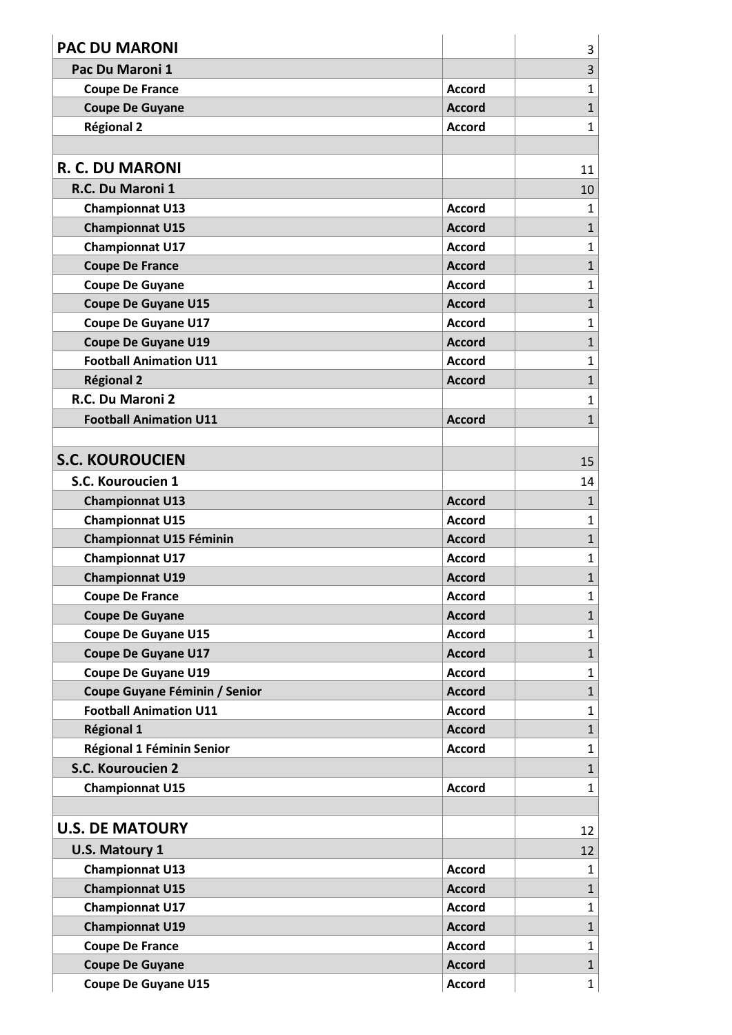| <b>PAC DU MARONI</b>           |               | 3              |
|--------------------------------|---------------|----------------|
| Pac Du Maroni 1                |               | 3              |
| <b>Coupe De France</b>         | <b>Accord</b> | $\mathbf{1}$   |
| <b>Coupe De Guyane</b>         | <b>Accord</b> | $\mathbf{1}$   |
| <b>Régional 2</b>              | <b>Accord</b> | $\mathbf{1}$   |
|                                |               |                |
| <b>R. C. DU MARONI</b>         |               | 11             |
| R.C. Du Maroni 1               |               | 10             |
| <b>Championnat U13</b>         | <b>Accord</b> | $\mathbf{1}$   |
| <b>Championnat U15</b>         | <b>Accord</b> | $\mathbf{1}$   |
| <b>Championnat U17</b>         | <b>Accord</b> | $\mathbf{1}$   |
| <b>Coupe De France</b>         | <b>Accord</b> | $\mathbf{1}$   |
| <b>Coupe De Guyane</b>         | <b>Accord</b> | $\mathbf{1}$   |
| <b>Coupe De Guyane U15</b>     | <b>Accord</b> | $\mathbf{1}$   |
| <b>Coupe De Guyane U17</b>     | <b>Accord</b> | $\mathbf{1}$   |
| <b>Coupe De Guyane U19</b>     | <b>Accord</b> | $\mathbf{1}$   |
| <b>Football Animation U11</b>  | <b>Accord</b> | $\mathbf{1}$   |
| <b>Régional 2</b>              | <b>Accord</b> | $\mathbf{1}$   |
| R.C. Du Maroni 2               |               | $\mathbf{1}$   |
| <b>Football Animation U11</b>  | <b>Accord</b> | $\mathbf{1}$   |
|                                |               |                |
| <b>S.C. KOUROUCIEN</b>         |               | 15             |
| S.C. Kouroucien 1              |               | 14             |
| <b>Championnat U13</b>         | <b>Accord</b> | $\mathbf{1}$   |
| <b>Championnat U15</b>         | <b>Accord</b> | $\mathbf{1}$   |
| <b>Championnat U15 Féminin</b> | <b>Accord</b> | $\mathbf{1}$   |
| <b>Championnat U17</b>         | <b>Accord</b> | $\mathbf{1}$   |
| <b>Championnat U19</b>         | <b>Accord</b> | $\overline{1}$ |
| <b>Coupe De France</b>         | <b>Accord</b> | $\mathbf{1}$   |
| <b>Coupe De Guyane</b>         | <b>Accord</b> | $\mathbf{1}$   |
| <b>Coupe De Guyane U15</b>     | <b>Accord</b> | $\mathbf{1}$   |
| <b>Coupe De Guyane U17</b>     | <b>Accord</b> | $\mathbf{1}$   |
| <b>Coupe De Guyane U19</b>     | <b>Accord</b> | $\mathbf{1}$   |
| Coupe Guyane Féminin / Senior  | <b>Accord</b> | $\mathbf{1}$   |
| <b>Football Animation U11</b>  | <b>Accord</b> | $\mathbf{1}$   |
| <b>Régional 1</b>              | <b>Accord</b> | $\mathbf{1}$   |
| Régional 1 Féminin Senior      | <b>Accord</b> | $\mathbf{1}$   |
| S.C. Kouroucien 2              |               | 1              |
| <b>Championnat U15</b>         | <b>Accord</b> | $\mathbf{1}$   |
|                                |               |                |
| <b>U.S. DE MATOURY</b>         |               | 12             |
| <b>U.S. Matoury 1</b>          |               | 12             |
| <b>Championnat U13</b>         | <b>Accord</b> | $\mathbf{1}$   |
| <b>Championnat U15</b>         | <b>Accord</b> | $\mathbf{1}$   |
| <b>Championnat U17</b>         | <b>Accord</b> | $\mathbf{1}$   |
| <b>Championnat U19</b>         | <b>Accord</b> | $\mathbf{1}$   |
| <b>Coupe De France</b>         | <b>Accord</b> | $\mathbf{1}$   |
| <b>Coupe De Guyane</b>         | <b>Accord</b> | $\mathbf{1}$   |
| <b>Coupe De Guyane U15</b>     | <b>Accord</b> | $\mathbf{1}$   |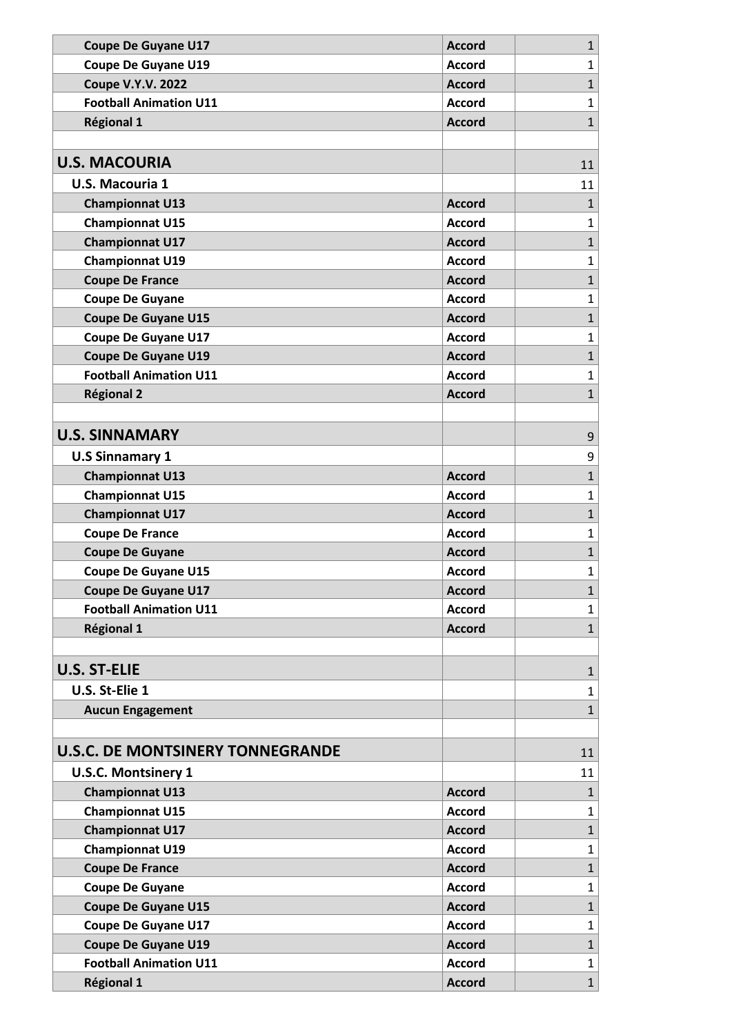| <b>Coupe De Guyane U17</b>              | <b>Accord</b> | $\mathbf{1}$ |
|-----------------------------------------|---------------|--------------|
| <b>Coupe De Guyane U19</b>              | <b>Accord</b> | $\mathbf{1}$ |
| <b>Coupe V.Y.V. 2022</b>                | <b>Accord</b> | $\mathbf{1}$ |
| <b>Football Animation U11</b>           | <b>Accord</b> | $\mathbf{1}$ |
| <b>Régional 1</b>                       | <b>Accord</b> | $\mathbf{1}$ |
|                                         |               |              |
| <b>U.S. MACOURIA</b>                    |               | 11           |
| <b>U.S. Macouria 1</b>                  |               | 11           |
| <b>Championnat U13</b>                  | <b>Accord</b> | $\mathbf{1}$ |
| <b>Championnat U15</b>                  | <b>Accord</b> | $\mathbf{1}$ |
| <b>Championnat U17</b>                  | <b>Accord</b> | $\mathbf{1}$ |
| <b>Championnat U19</b>                  | <b>Accord</b> | $\mathbf{1}$ |
| <b>Coupe De France</b>                  | <b>Accord</b> | $\mathbf{1}$ |
| <b>Coupe De Guyane</b>                  | <b>Accord</b> | $\mathbf{1}$ |
| <b>Coupe De Guyane U15</b>              | <b>Accord</b> | $\mathbf{1}$ |
| <b>Coupe De Guyane U17</b>              | <b>Accord</b> | $\mathbf{1}$ |
| <b>Coupe De Guyane U19</b>              | <b>Accord</b> | $\mathbf{1}$ |
| <b>Football Animation U11</b>           | <b>Accord</b> | $\mathbf{1}$ |
| <b>Régional 2</b>                       | <b>Accord</b> | $\mathbf{1}$ |
|                                         |               |              |
| <b>U.S. SINNAMARY</b>                   |               | 9            |
| <b>U.S Sinnamary 1</b>                  |               | 9            |
| <b>Championnat U13</b>                  | <b>Accord</b> | $\mathbf{1}$ |
| <b>Championnat U15</b>                  | <b>Accord</b> | $\mathbf{1}$ |
| <b>Championnat U17</b>                  | <b>Accord</b> | $\mathbf{1}$ |
| <b>Coupe De France</b>                  | <b>Accord</b> | $\mathbf{1}$ |
| <b>Coupe De Guyane</b>                  | <b>Accord</b> | $\mathbf{1}$ |
| <b>Coupe De Guyane U15</b>              | <b>Accord</b> | $\mathbf{1}$ |
| <b>Coupe De Guyane U17</b>              | <b>Accord</b> | 1            |
| <b>Football Animation U11</b>           | <b>Accord</b> | $\mathbf{1}$ |
| <b>Régional 1</b>                       | <b>Accord</b> | $\mathbf{1}$ |
|                                         |               |              |
| <b>U.S. ST-ELIE</b>                     |               | $\mathbf{1}$ |
| U.S. St-Elie 1                          |               | $\mathbf{1}$ |
| <b>Aucun Engagement</b>                 |               | $\mathbf{1}$ |
|                                         |               |              |
| <b>U.S.C. DE MONTSINERY TONNEGRANDE</b> |               | 11           |
| <b>U.S.C. Montsinery 1</b>              |               | 11           |
| <b>Championnat U13</b>                  | <b>Accord</b> | $\mathbf{1}$ |
| <b>Championnat U15</b>                  | <b>Accord</b> | $\mathbf{1}$ |
| <b>Championnat U17</b>                  | <b>Accord</b> | $\mathbf{1}$ |
| <b>Championnat U19</b>                  | <b>Accord</b> | $\mathbf{1}$ |
| <b>Coupe De France</b>                  | <b>Accord</b> | $\mathbf{1}$ |
| <b>Coupe De Guyane</b>                  | <b>Accord</b> | $\mathbf{1}$ |
| <b>Coupe De Guyane U15</b>              | <b>Accord</b> | $\mathbf{1}$ |
| <b>Coupe De Guyane U17</b>              | <b>Accord</b> | $\mathbf{1}$ |
| <b>Coupe De Guyane U19</b>              | <b>Accord</b> | $\mathbf{1}$ |
| <b>Football Animation U11</b>           | <b>Accord</b> | $\mathbf{1}$ |
| <b>Régional 1</b>                       | <b>Accord</b> | $\mathbf{1}$ |